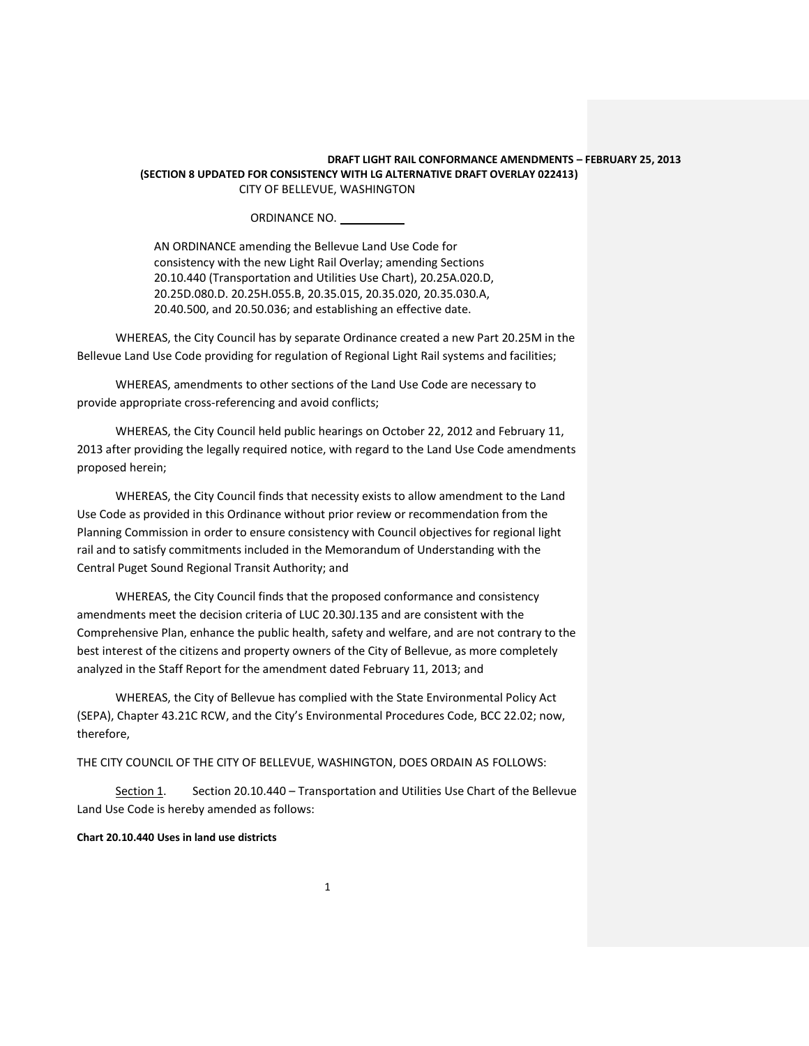ORDINANCE NO.

AN ORDINANCE amending the Bellevue Land Use Code for consistency with the new Light Rail Overlay; amending Sections 20.10.440 (Transportation and Utilities Use Chart), 20.25A.020.D, 20.25D.080.D. 20.25H.055.B, 20.35.015, 20.35.020, 20.35.030.A, 20.40.500, and 20.50.036; and establishing an effective date.

WHEREAS, the City Council has by separate Ordinance created a new Part 20.25M in the Bellevue Land Use Code providing for regulation of Regional Light Rail systems and facilities;

WHEREAS, amendments to other sections of the Land Use Code are necessary to provide appropriate cross-referencing and avoid conflicts;

WHEREAS, the City Council held public hearings on October 22, 2012 and February 11, 2013 after providing the legally required notice, with regard to the Land Use Code amendments proposed herein;

WHEREAS, the City Council finds that necessity exists to allow amendment to the Land Use Code as provided in this Ordinance without prior review or recommendation from the Planning Commission in order to ensure consistency with Council objectives for regional light rail and to satisfy commitments included in the Memorandum of Understanding with the Central Puget Sound Regional Transit Authority; and

WHEREAS, the City Council finds that the proposed conformance and consistency amendments meet the decision criteria of LUC 20.30J.135 and are consistent with the Comprehensive Plan, enhance the public health, safety and welfare, and are not contrary to the best interest of the citizens and property owners of the City of Bellevue, as more completely analyzed in the Staff Report for the amendment dated February 11, 2013; and

WHEREAS, the City of Bellevue has complied with the State Environmental Policy Act (SEPA), Chapter 43.21C RCW, and the City's Environmental Procedures Code, BCC 22.02; now, therefore,

THE CITY COUNCIL OF THE CITY OF BELLEVUE, WASHINGTON, DOES ORDAIN AS FOLLOWS:

Section 1. Section 20.10.440 – Transportation and Utilities Use Chart of the Bellevue Land Use Code is hereby amended as follows:

### **Chart 20.10.440 Uses in land use districts**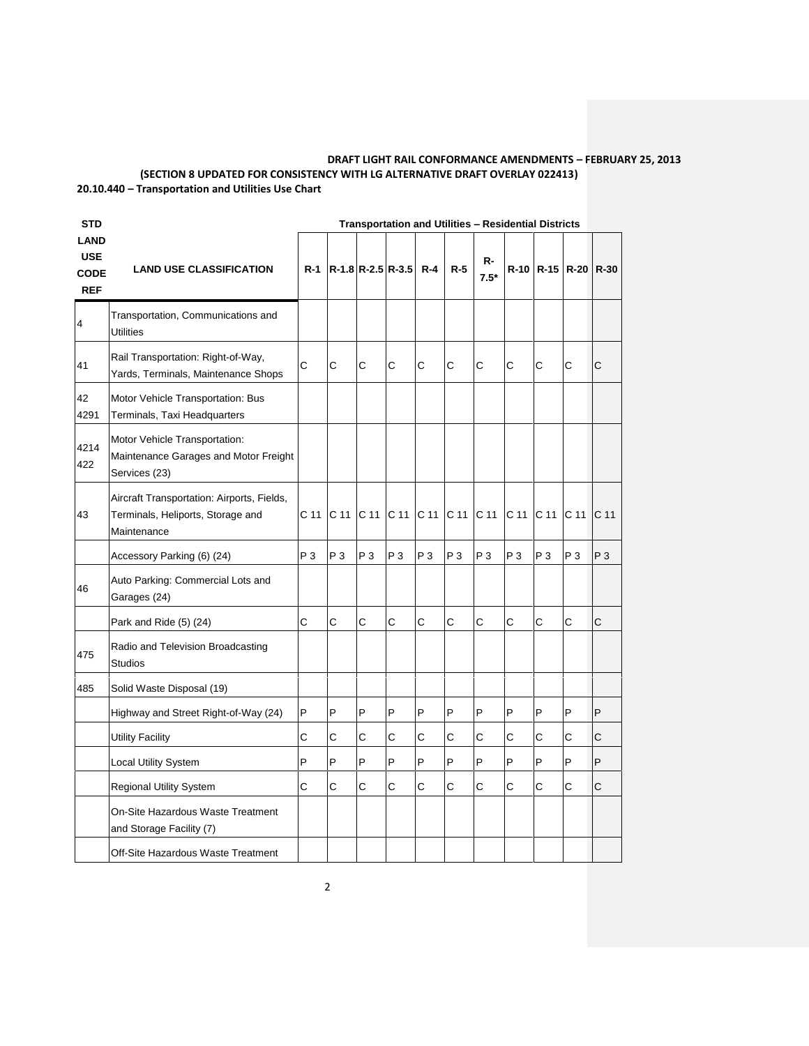# **DRAFT LIGHT RAIL CONFORMANCE AMENDMENTS – FEBRUARY 25, 2013 (SECTION 8 UPDATED FOR CONSISTENCY WITH LG ALTERNATIVE DRAFT OVERLAY 022413) 20.10.440 – Transportation and Utilities Use Chart**

| <b>STD</b>                                             |                                                                                                | <b>Transportation and Utilities - Residential Districts</b> |                       |                 |                 |                 |                 |                 |                 |                     |                 |                 |
|--------------------------------------------------------|------------------------------------------------------------------------------------------------|-------------------------------------------------------------|-----------------------|-----------------|-----------------|-----------------|-----------------|-----------------|-----------------|---------------------|-----------------|-----------------|
| <b>LAND</b><br><b>USE</b><br><b>CODE</b><br><b>REF</b> | <b>LAND USE CLASSIFICATION</b>                                                                 | $R-1$                                                       | R-1.8 R-2.5 R-3.5 R-4 |                 |                 |                 | $R-5$           | R-<br>$7.5*$    |                 | R-10 R-15 R-20 R-30 |                 |                 |
| 4                                                      | Transportation, Communications and<br><b>Utilities</b>                                         |                                                             |                       |                 |                 |                 |                 |                 |                 |                     |                 |                 |
| 41                                                     | Rail Transportation: Right-of-Way,<br>Yards, Terminals, Maintenance Shops                      | C                                                           | C                     | C               | C               | C               | C               | C               | C               | C                   | Ċ               | C               |
| 42<br>4291                                             | Motor Vehicle Transportation: Bus<br>Terminals, Taxi Headquarters                              |                                                             |                       |                 |                 |                 |                 |                 |                 |                     |                 |                 |
| 4214<br>422                                            | Motor Vehicle Transportation:<br>Maintenance Garages and Motor Freight<br>Services (23)        |                                                             |                       |                 |                 |                 |                 |                 |                 |                     |                 |                 |
| 43                                                     | Aircraft Transportation: Airports, Fields,<br>Terminals, Heliports, Storage and<br>Maintenance | C <sub>11</sub>                                             | C <sub>11</sub>       | C <sub>11</sub> | C <sub>11</sub> | C <sub>11</sub> | C <sub>11</sub> | C <sub>11</sub> | C <sub>11</sub> | C <sub>11</sub>     | C <sub>11</sub> | C <sub>11</sub> |
|                                                        | Accessory Parking (6) (24)                                                                     | $P_3$                                                       | $P_3$                 | P <sub>3</sub>  | $P_3$           | P <sub>3</sub>  | $P_3$           | $P_3$           | $P_3$           | $P_3$               | $P_3$           | P <sub>3</sub>  |
| 46                                                     | Auto Parking: Commercial Lots and<br>Garages (24)                                              |                                                             |                       |                 |                 |                 |                 |                 |                 |                     |                 |                 |
|                                                        | Park and Ride (5) (24)                                                                         | Ċ                                                           | Ć                     | C               | Ċ               | C               | C               | Ċ               | Ċ               | Ċ                   | C               | C               |
| 475                                                    | Radio and Television Broadcasting<br><b>Studios</b>                                            |                                                             |                       |                 |                 |                 |                 |                 |                 |                     |                 |                 |
| 485                                                    | Solid Waste Disposal (19)                                                                      |                                                             |                       |                 |                 |                 |                 |                 |                 |                     |                 |                 |
|                                                        | Highway and Street Right-of-Way (24)                                                           | P                                                           | P                     | P               | P               | P               | P               | P               | P               | P                   | P               | P               |
|                                                        | <b>Utility Facility</b>                                                                        | Ć                                                           | Ć                     | C               | C               | C               | С               | C               | С               | С                   | C               | C               |
|                                                        | <b>Local Utility System</b>                                                                    | P                                                           | P                     | P               | P               | P               | P               | P               | P               | P                   | P               | P               |
|                                                        | <b>Regional Utility System</b>                                                                 | Ć                                                           | C                     | C               | С               | С               | C               | C               | C               | C                   | Ċ               | C               |
|                                                        | On-Site Hazardous Waste Treatment<br>and Storage Facility (7)                                  |                                                             |                       |                 |                 |                 |                 |                 |                 |                     |                 |                 |
|                                                        | Off-Site Hazardous Waste Treatment                                                             |                                                             |                       |                 |                 |                 |                 |                 |                 |                     |                 |                 |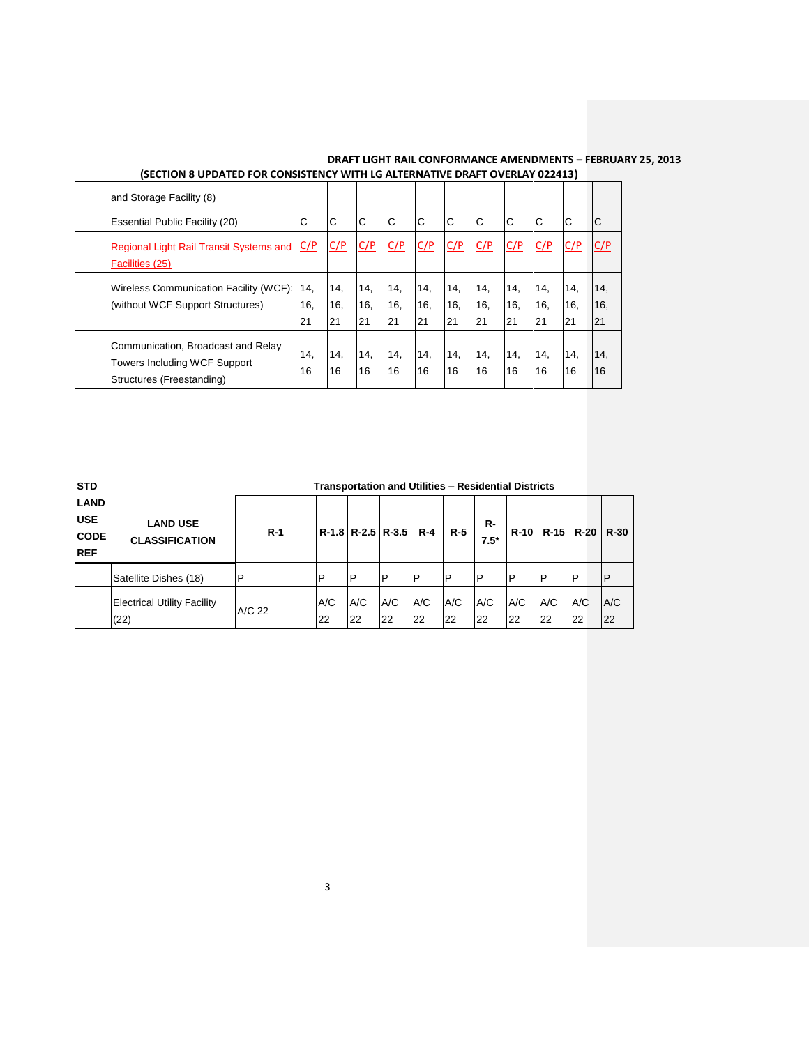| and Storage Facility (8)                                                                               |                  |                  |                  |                  |                  |                  |                  |                  |                  |                  |                  |
|--------------------------------------------------------------------------------------------------------|------------------|------------------|------------------|------------------|------------------|------------------|------------------|------------------|------------------|------------------|------------------|
| <b>Essential Public Facility (20)</b>                                                                  |                  | ІС               | C                | C                | C                | C                | C                | C                | IС               | C                | $\mathsf{C}$     |
| <b>Regional Light Rail Transit Systems and</b><br>Facilities (25)                                      | C/P              | C/P              | C/P              | C/P              | C/P              | C/P              | C/P              | C/P              | C/P              | C/P              | C/P              |
| Wireless Communication Facility (WCF):<br>(without WCF Support Structures)                             | 14,<br>16,<br>21 | 14,<br>16,<br>21 | 14,<br>16,<br>21 | 14,<br>16,<br>21 | 14,<br>16,<br>21 | 14,<br>16,<br>21 | 14.<br>16.<br>21 | 14.<br>16,<br>21 | 14,<br>16,<br>21 | 14,<br>16,<br>21 | 14,<br>16,<br>21 |
| Communication, Broadcast and Relay<br><b>Towers Including WCF Support</b><br>Structures (Freestanding) | 14,<br>16        | 14.<br>16        | 14,<br>16        | 14,<br>16        | 14,<br>16        | 14,<br>16        | 14,<br>16        | 14,<br>16        | 14,<br>16        | 14,<br>16        | 14,<br>16        |

| <b>STD</b>                                             |                                            | <b>Transportation and Utilities - Residential Districts</b> |           |           |                         |           |           |              |           |           |               |           |
|--------------------------------------------------------|--------------------------------------------|-------------------------------------------------------------|-----------|-----------|-------------------------|-----------|-----------|--------------|-----------|-----------|---------------|-----------|
| <b>LAND</b><br><b>USE</b><br><b>CODE</b><br><b>REF</b> | <b>LAND USE</b><br><b>CLASSIFICATION</b>   | $R-1$                                                       |           |           | $R-1.8$ $R-2.5$ $R-3.5$ | R-4       | $R-5$     | R-<br>$7.5*$ | $R-10$    |           | $R-15$ $R-20$ | R-30      |
|                                                        | Satellite Dishes (18)                      | $\mathsf{P}$                                                | P         | P         | <b>P</b>                | IP        | P         | P            | İΡ        | P         | P             |           |
|                                                        | <b>Electrical Utility Facility</b><br>(22) | A/C 22                                                      | A/C<br>22 | A/C<br>22 | A/C<br>22               | A/C<br>22 | A/C<br>22 | A/C<br>22    | A/C<br>22 | A/C<br>22 | A/C<br>22     | A/C<br>22 |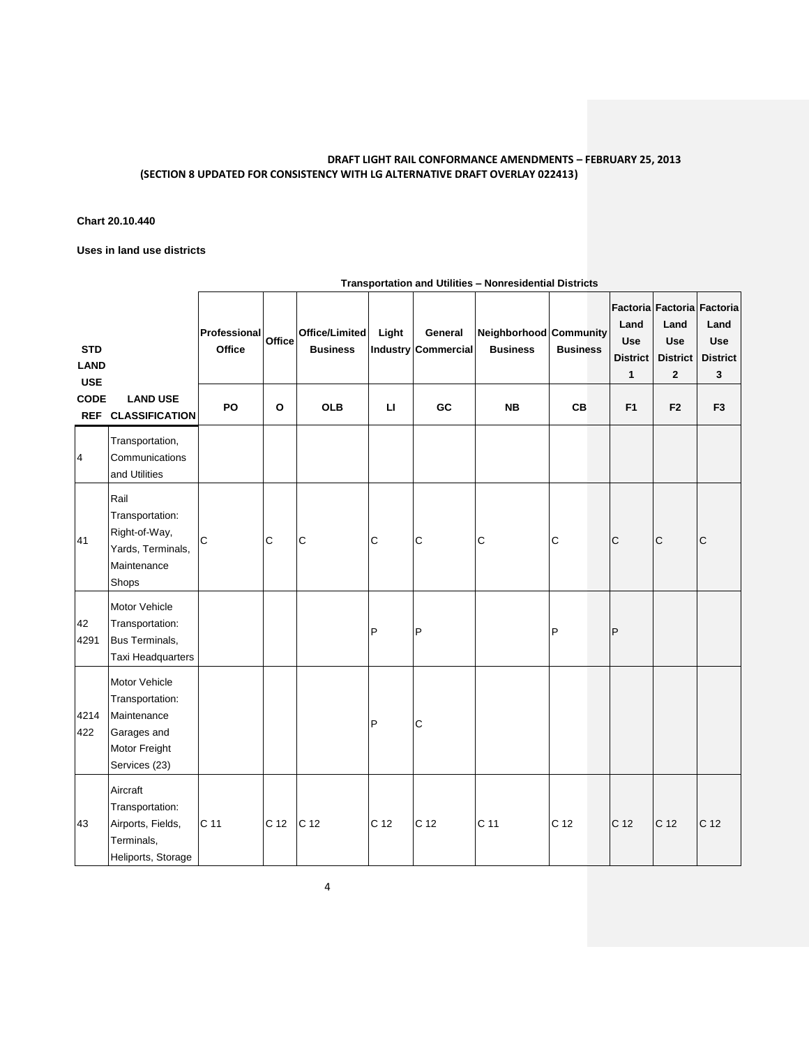# **Chart 20.10.440**

**Uses in land use districts**

| <b>STD</b><br><b>LAND</b><br><b>USE</b> |                                                                                                  | Professional<br>Office | Office      | Office/Limited<br><b>Business</b> | Light        | General<br>Industry Commercial | Neighborhood Community<br><b>Business</b> | <b>Business</b> | Land<br><b>Use</b><br><b>District</b><br>1 | Land<br><b>Use</b><br><b>District</b><br>$\overline{2}$ | Factoria Factoria Factoria<br>Land<br><b>Use</b><br><b>District</b><br>3 |
|-----------------------------------------|--------------------------------------------------------------------------------------------------|------------------------|-------------|-----------------------------------|--------------|--------------------------------|-------------------------------------------|-----------------|--------------------------------------------|---------------------------------------------------------|--------------------------------------------------------------------------|
| <b>CODE</b>                             | <b>LAND USE</b><br>REF CLASSIFICATION                                                            | PO                     | O           | <b>OLB</b>                        | $\mathbf{L}$ | GC                             | <b>NB</b>                                 | <b>CB</b>       | F <sub>1</sub>                             | F <sub>2</sub>                                          | F <sub>3</sub>                                                           |
| 4                                       | Transportation,<br>Communications<br>and Utilities                                               |                        |             |                                   |              |                                |                                           |                 |                                            |                                                         |                                                                          |
| 41                                      | Rail<br>Transportation:<br>Right-of-Way,<br>Yards, Terminals,<br>Maintenance<br>Shops            | $\mathsf{C}$           | $\mathsf C$ | $\mathsf{C}$                      | $\mathsf{C}$ | $\mathsf{C}$                   | $\mathsf{C}$                              | $\mathsf{C}$    | $\mathsf{C}$                               | $\mathsf{C}$                                            | C                                                                        |
| 42<br>4291                              | Motor Vehicle<br>Transportation:<br>Bus Terminals,<br>Taxi Headquarters                          |                        |             |                                   | P            | P                              |                                           | P               | $\mathsf{P}$                               |                                                         |                                                                          |
| 4214<br>422                             | Motor Vehicle<br>Transportation:<br>Maintenance<br>Garages and<br>Motor Freight<br>Services (23) |                        |             |                                   | P            | $\mathsf{C}$                   |                                           |                 |                                            |                                                         |                                                                          |
| 43                                      | Aircraft<br>Transportation:<br>Airports, Fields,<br>Terminals,<br>Heliports, Storage             | C 11                   | C 12        | C <sub>12</sub>                   | C 12         | C <sub>12</sub>                | C <sub>11</sub>                           | C 12            | C <sub>12</sub>                            | C <sub>12</sub>                                         | C <sub>12</sub>                                                          |

**Transportation and Utilities – Nonresidential Districts**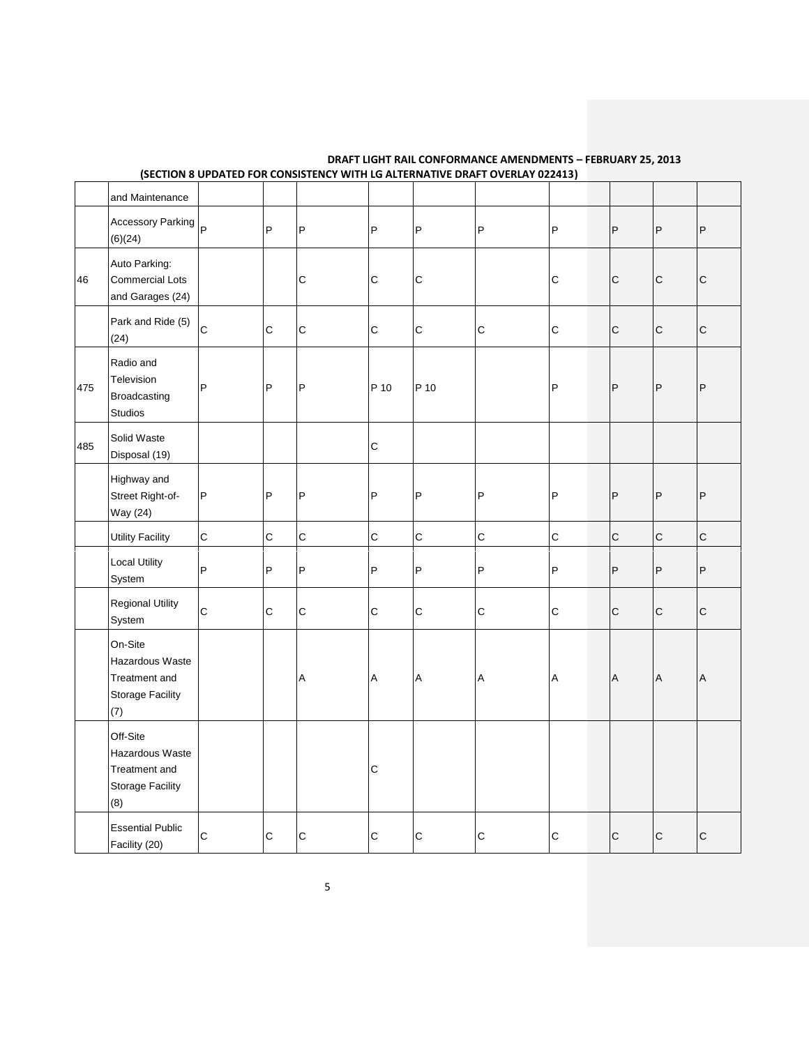|     | and Maintenance                                                                |             |              |             |              |              |              |              |              |                |              |
|-----|--------------------------------------------------------------------------------|-------------|--------------|-------------|--------------|--------------|--------------|--------------|--------------|----------------|--------------|
|     | Accessory Parking $ P $<br>(6)(24)                                             |             | $\vert$ P    | P           | $\mathsf{P}$ | P            | P            | P            | $\mathsf{P}$ | $\mathsf{P}$   | P            |
| 46  | Auto Parking:<br><b>Commercial Lots</b><br>and Garages (24)                    |             |              | $\mathsf C$ | $\mathbf C$  | $\mathsf C$  |              | $\mathsf C$  | $\mathsf{C}$ | $\mathsf C$    | $\mathsf C$  |
|     | Park and Ride (5)<br>(24)                                                      | $\mathsf C$ | $\mathsf{C}$ | $\mathbf C$ | $\mathsf{C}$ | $\mathsf{C}$ | $\mathsf{C}$ | $\mathbf C$  | $\mathsf{C}$ | $\overline{C}$ | $\mathsf{C}$ |
| 475 | Radio and<br>Television<br>Broadcasting<br><b>Studios</b>                      | P           | $\mathsf P$  | P           | P 10         | P 10         |              | P            | $\mathsf{P}$ | $\mathsf{P}$   | P            |
| 485 | Solid Waste<br>Disposal (19)                                                   |             |              |             | $\mathbf C$  |              |              |              |              |                |              |
|     | Highway and<br>Street Right-of-<br>Way (24)                                    | P           | $\mathsf{P}$ | P           | P            | P            | $\mathsf{P}$ | P            | $\mathsf{P}$ | P              | P            |
|     | <b>Utility Facility</b>                                                        | $\mathsf C$ | $\mathbf C$  | $\mathsf C$ | $\mathsf{C}$ | $\mathsf{C}$ | $\mathsf C$  | $\mathsf{C}$ | $\mathsf{C}$ | $\mathsf{C}$   | $\mathsf{C}$ |
|     | <b>Local Utility</b><br>System                                                 | P           | P            | P           | P            | P            | P            | P            | P            | P              | P            |
|     | <b>Regional Utility</b><br>System                                              | $\mathbf C$ | $\mathsf{C}$ | $\mathsf C$ | $\mathsf{C}$ | $\mathsf{C}$ | $\mathsf C$  | $\mathsf C$  | $\mathsf C$  | $\mathsf{C}$   | $\mathsf{C}$ |
|     | On-Site<br>Hazardous Waste<br>Treatment and<br>Storage Facility<br>(7)         |             |              | Α           | Α            | A            | A            | Α            | A            | $\overline{A}$ | Α            |
|     | Off-Site<br>Hazardous Waste<br>Treatment and<br><b>Storage Facility</b><br>(8) |             |              |             | $\mathbf C$  |              |              |              |              |                |              |
|     | <b>Essential Public</b><br>Facility (20)                                       | $\mathbf C$ | $\mathsf{C}$ | C           | $\mathsf C$  | $\mathsf C$  | C            | C            | $\mathsf{C}$ | $\mathsf{C}$   | $\mathsf{C}$ |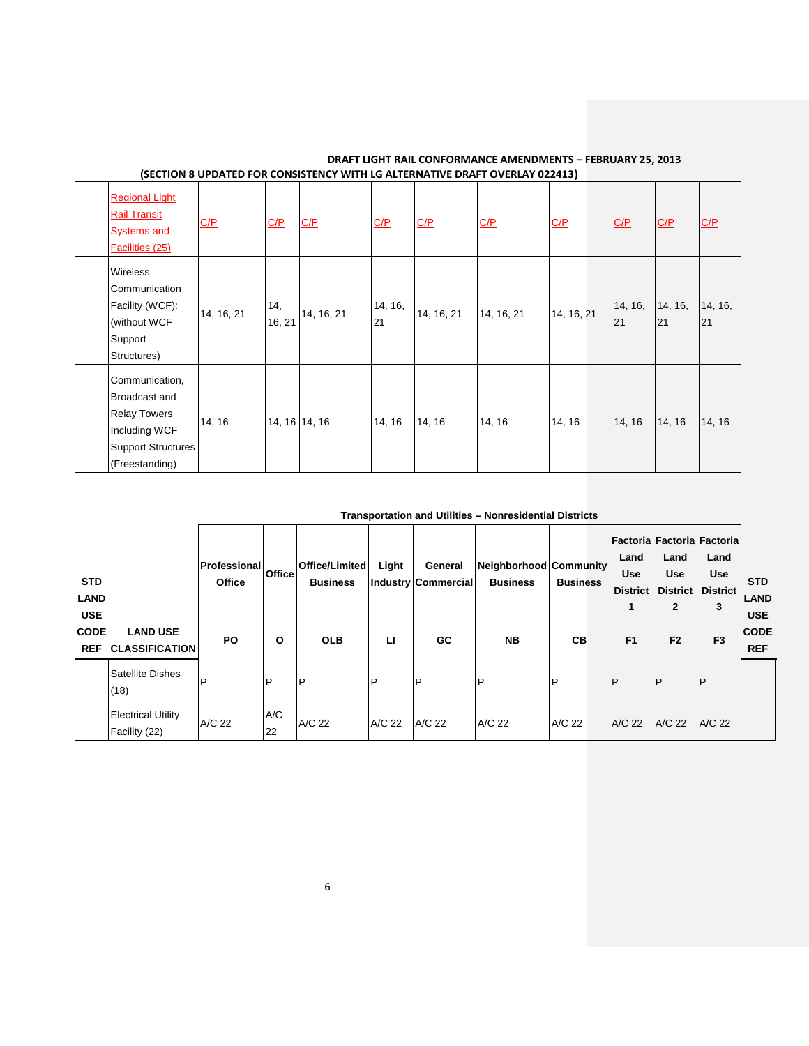| <b>Regional Light</b><br><b>Rail Transit</b><br><b>Systems and</b><br>Facilities (25)                                         | C/P        | C/P           | C/P           | C/P           | C/P        | C/P        | C/P        | C/P           | C/P           | C/P           |
|-------------------------------------------------------------------------------------------------------------------------------|------------|---------------|---------------|---------------|------------|------------|------------|---------------|---------------|---------------|
| Wireless<br>Communication<br>Facility (WCF):<br>(without WCF<br>Support<br>Structures)                                        | 14, 16, 21 | 14,<br>16, 21 | 14, 16, 21    | 14, 16,<br>21 | 14, 16, 21 | 14, 16, 21 | 14, 16, 21 | 14, 16,<br>21 | 14, 16,<br>21 | 14, 16,<br>21 |
| Communication,<br><b>Broadcast and</b><br><b>Relay Towers</b><br>Including WCF<br><b>Support Structures</b><br>(Freestanding) | 14, 16     |               | 14, 16 14, 16 | 14, 16        | 14, 16     | 14, 16     | 14, 16     | 14, 16        | 14, 16        | 14, 16        |

**Transportation and Utilities – Nonresidential Districts**

| <b>STD</b><br><b>LAND</b><br><b>USE</b> |                                            | Professional <br>Office | <b>Office</b> | Office/Limited<br><b>Business</b> | Light        | General<br>Industry Commercial | Neighborhood Community<br><b>Business</b> | <b>Business</b> | Land<br><b>Use</b><br><b>District</b><br>1 | Land<br><b>Use</b><br><b>District</b><br>$\mathbf{2}$ | Factoria Factoria Factoria<br>Land<br><b>Use</b><br><b>District</b><br>3 | <b>STD</b><br><b>LAND</b><br><b>USE</b> |
|-----------------------------------------|--------------------------------------------|-------------------------|---------------|-----------------------------------|--------------|--------------------------------|-------------------------------------------|-----------------|--------------------------------------------|-------------------------------------------------------|--------------------------------------------------------------------------|-----------------------------------------|
| <b>CODE</b><br><b>REF</b>               | <b>LAND USE</b><br><b>CLASSIFICATION</b>   | <b>PO</b>               | $\Omega$      | <b>OLB</b>                        | п            | GC                             | <b>NB</b>                                 | CВ              | F <sub>1</sub>                             | F <sub>2</sub>                                        | F <sub>3</sub>                                                           | <b>CODE</b><br><b>REF</b>               |
|                                         | Satellite Dishes<br>(18)                   | D                       | P             | $\mathsf{P}$                      | $\mathsf{P}$ | P                              | P                                         | P               | $\mathsf{P}$                               | $\mathsf{P}$                                          | P                                                                        |                                         |
|                                         | <b>Electrical Utility</b><br>Facility (22) | A/C 22                  | A/C<br>22     | A/C 22                            | A/C 22       | A/C 22                         | A/C 22                                    | A/C 22          | A/C 22                                     | A/C 22                                                | A/C 22                                                                   |                                         |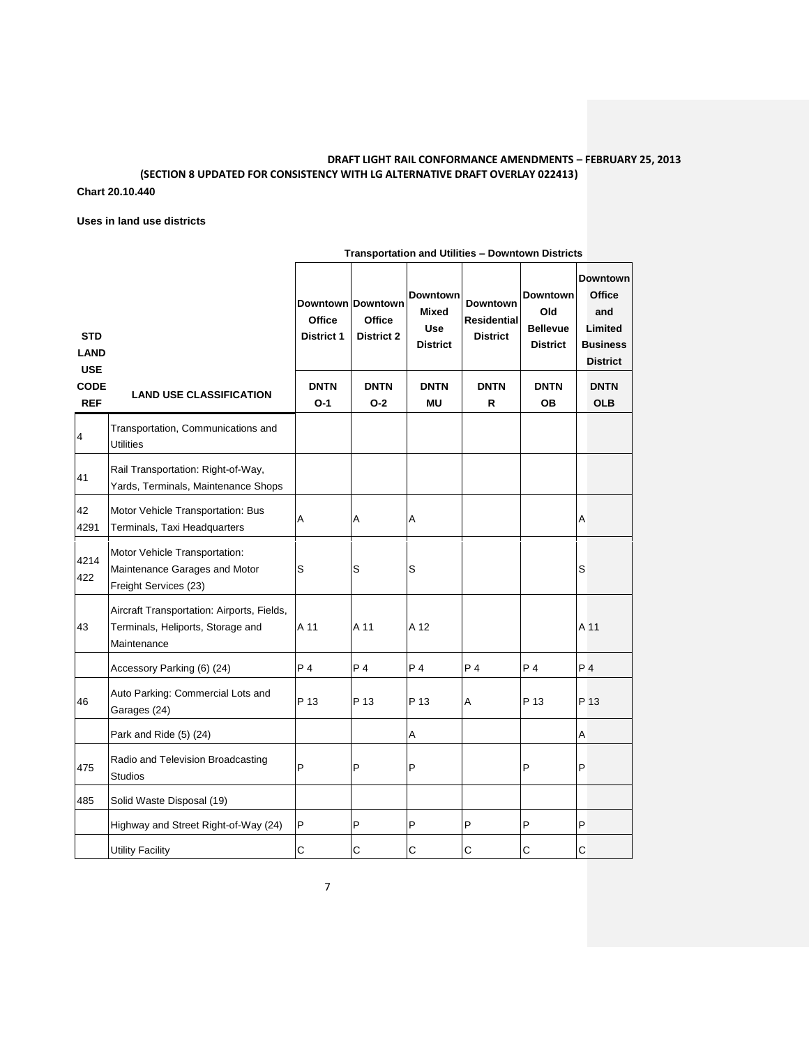### **Chart 20.10.440**

**Uses in land use districts**

|                                         |                                                                                                | <b>Transportation and Utilities – Downtown Districts</b> |                                                  |                                                                  |                                                          |                                                              |                                                                                          |  |  |
|-----------------------------------------|------------------------------------------------------------------------------------------------|----------------------------------------------------------|--------------------------------------------------|------------------------------------------------------------------|----------------------------------------------------------|--------------------------------------------------------------|------------------------------------------------------------------------------------------|--|--|
| <b>STD</b><br><b>LAND</b><br><b>USE</b> |                                                                                                | Office<br><b>District 1</b>                              | Downtown Downtown<br><b>Office</b><br>District 2 | <b>Downtown</b><br><b>Mixed</b><br><b>Use</b><br><b>District</b> | <b>Downtown</b><br><b>Residential</b><br><b>District</b> | <b>Downtown</b><br>Old<br><b>Bellevue</b><br><b>District</b> | <b>Downtown</b><br><b>Office</b><br>and<br>Limited<br><b>Business</b><br><b>District</b> |  |  |
| <b>CODE</b><br><b>REF</b>               | <b>LAND USE CLASSIFICATION</b>                                                                 | <b>DNTN</b><br>$O-1$                                     | <b>DNTN</b><br>$O-2$                             | <b>DNTN</b><br><b>MU</b>                                         | <b>DNTN</b><br>R                                         | <b>DNTN</b><br><b>OB</b>                                     | <b>DNTN</b><br><b>OLB</b>                                                                |  |  |
| 4                                       | Transportation, Communications and<br><b>Utilities</b>                                         |                                                          |                                                  |                                                                  |                                                          |                                                              |                                                                                          |  |  |
| 41                                      | Rail Transportation: Right-of-Way,<br>Yards, Terminals, Maintenance Shops                      |                                                          |                                                  |                                                                  |                                                          |                                                              |                                                                                          |  |  |
| 42<br>4291                              | Motor Vehicle Transportation: Bus<br>Terminals, Taxi Headquarters                              | Α                                                        | A                                                | A                                                                |                                                          |                                                              | Α                                                                                        |  |  |
| 4214<br>422                             | Motor Vehicle Transportation:<br>Maintenance Garages and Motor<br>Freight Services (23)        | S                                                        | S                                                | $\mathsf S$                                                      |                                                          |                                                              | S                                                                                        |  |  |
| 43                                      | Aircraft Transportation: Airports, Fields,<br>Terminals, Heliports, Storage and<br>Maintenance | A 11                                                     | A 11                                             | A 12                                                             |                                                          |                                                              | A 11                                                                                     |  |  |
|                                         | Accessory Parking (6) (24)                                                                     | P 4                                                      | P 4                                              | P <sub>4</sub>                                                   | P <sub>4</sub>                                           | P <sub>4</sub>                                               | P <sub>4</sub>                                                                           |  |  |
| 46                                      | Auto Parking: Commercial Lots and<br>Garages (24)                                              | P 13                                                     | P 13                                             | P 13                                                             | A                                                        | P 13                                                         | P 13                                                                                     |  |  |
|                                         | Park and Ride (5) (24)                                                                         |                                                          |                                                  | Α                                                                |                                                          |                                                              | Α                                                                                        |  |  |
| 475                                     | Radio and Television Broadcasting<br><b>Studios</b>                                            | P                                                        | P                                                | P                                                                |                                                          | P                                                            | P                                                                                        |  |  |
| 485                                     | Solid Waste Disposal (19)                                                                      |                                                          |                                                  |                                                                  |                                                          |                                                              |                                                                                          |  |  |
|                                         | Highway and Street Right-of-Way (24)                                                           | P                                                        | P                                                | P                                                                | P                                                        | P                                                            | P                                                                                        |  |  |
|                                         | <b>Utility Facility</b>                                                                        | C                                                        | С                                                | C                                                                | C                                                        | C                                                            | C                                                                                        |  |  |

**Transportation and Utilities – Downtown Districts**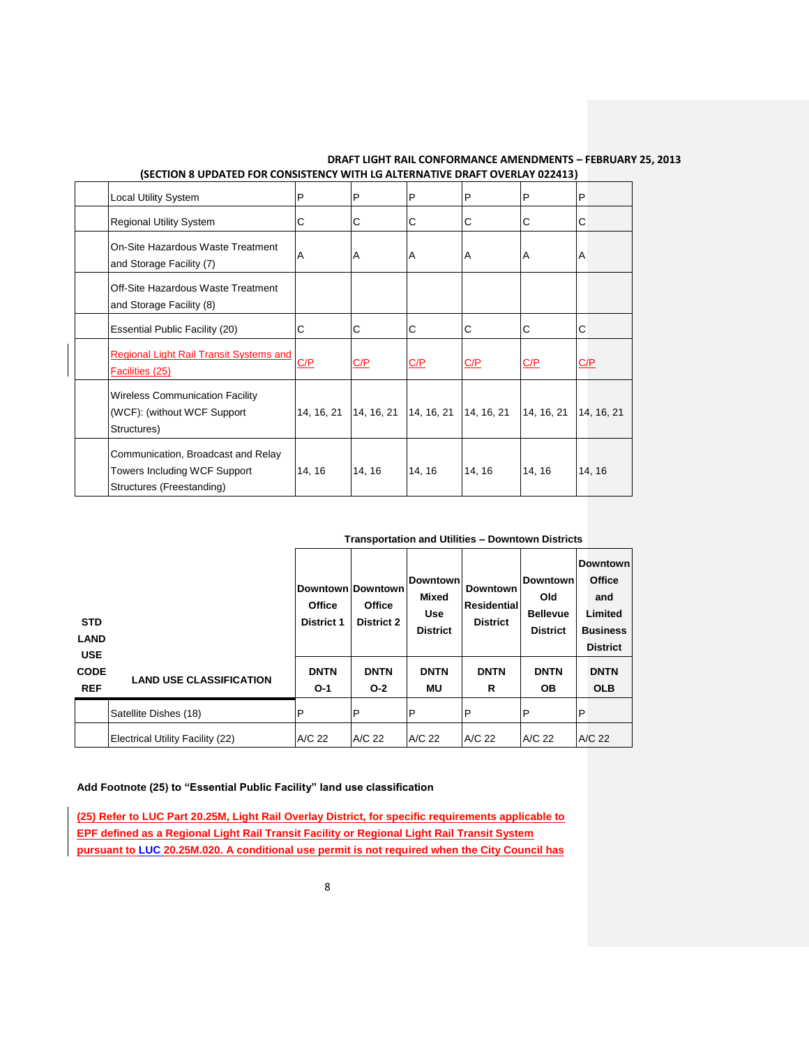| (SECTION 6 OF DATED FOR CONSISTENCT WITH EQ ALTERNATIVE DIMIT OVEREAT 022413)                   |            |            |            |            |            |            |  |  |  |
|-------------------------------------------------------------------------------------------------|------------|------------|------------|------------|------------|------------|--|--|--|
| <b>Local Utility System</b>                                                                     | P          | P          | P          | P          | P          | P          |  |  |  |
| <b>Regional Utility System</b>                                                                  | С          | С          | C          | C          | С          | C          |  |  |  |
| On-Site Hazardous Waste Treatment<br>and Storage Facility (7)                                   | A          | ΙA         | A          | A          | A          | ΙA         |  |  |  |
| Off-Site Hazardous Waste Treatment<br>and Storage Facility (8)                                  |            |            |            |            |            |            |  |  |  |
| Essential Public Facility (20)                                                                  | С          | С          | C          | С          | С          | ІС         |  |  |  |
| <b>Regional Light Rail Transit Systems and</b><br>Facilities (25)                               | C/P        | C/P        | C/P        | C/P        | C/P        | C/P        |  |  |  |
| <b>Wireless Communication Facility</b><br>(WCF): (without WCF Support)<br>Structures)           | 14, 16, 21 | 14, 16, 21 | 14, 16, 21 | 14, 16, 21 | 14, 16, 21 | 14, 16, 21 |  |  |  |
| Communication, Broadcast and Relay<br>Towers Including WCF Support<br>Structures (Freestanding) | 14, 16     | 14, 16     | 14, 16     | 14, 16     | 14, 16     | 14, 16     |  |  |  |

| <b>STD</b><br><b>LAND</b><br><b>USE</b> |                                  | Downtown Downtown<br>Office<br><b>District 1</b> | <b>Office</b><br><b>District 2</b> | <b>Downtown</b><br>Mixed<br><b>Use</b><br><b>District</b> | <b>Downtown</b><br>Residential<br><b>District</b> | <b>Downtown</b><br>Old<br><b>Bellevue</b><br><b>District</b> |   | <b>Downtown</b><br><b>Office</b><br>and<br>Limited<br><b>Business</b><br><b>District</b> |
|-----------------------------------------|----------------------------------|--------------------------------------------------|------------------------------------|-----------------------------------------------------------|---------------------------------------------------|--------------------------------------------------------------|---|------------------------------------------------------------------------------------------|
| <b>CODE</b><br><b>REF</b>               | <b>LAND USE CLASSIFICATION</b>   | <b>DNTN</b><br>$O-1$                             | <b>DNTN</b><br>$O-2$               | <b>DNTN</b><br>MU                                         | <b>DNTN</b><br>R                                  | <b>DNTN</b><br><b>OB</b>                                     |   | <b>DNTN</b><br><b>OLB</b>                                                                |
|                                         | Satellite Dishes (18)            | $\mathsf{P}$                                     | P                                  | $\mathsf{P}$                                              | $\mathsf{P}$                                      | P                                                            | P |                                                                                          |
|                                         | Electrical Utility Facility (22) | A/C 22                                           | A/C 22                             | A/C 22                                                    | A/C 22                                            | A/C 22                                                       |   | A/C 22                                                                                   |

#### **Add Footnote (25) to "Essential Public Facility" land use classification**

**(25) Refer to LUC Part 20.25M, Light Rail Overlay District, for specific requirements applicable to EPF defined as a Regional Light Rail Transit Facility or Regional Light Rail Transit System pursuant to LUC 20.25M.020. A conditional use permit is not required when the City Council has**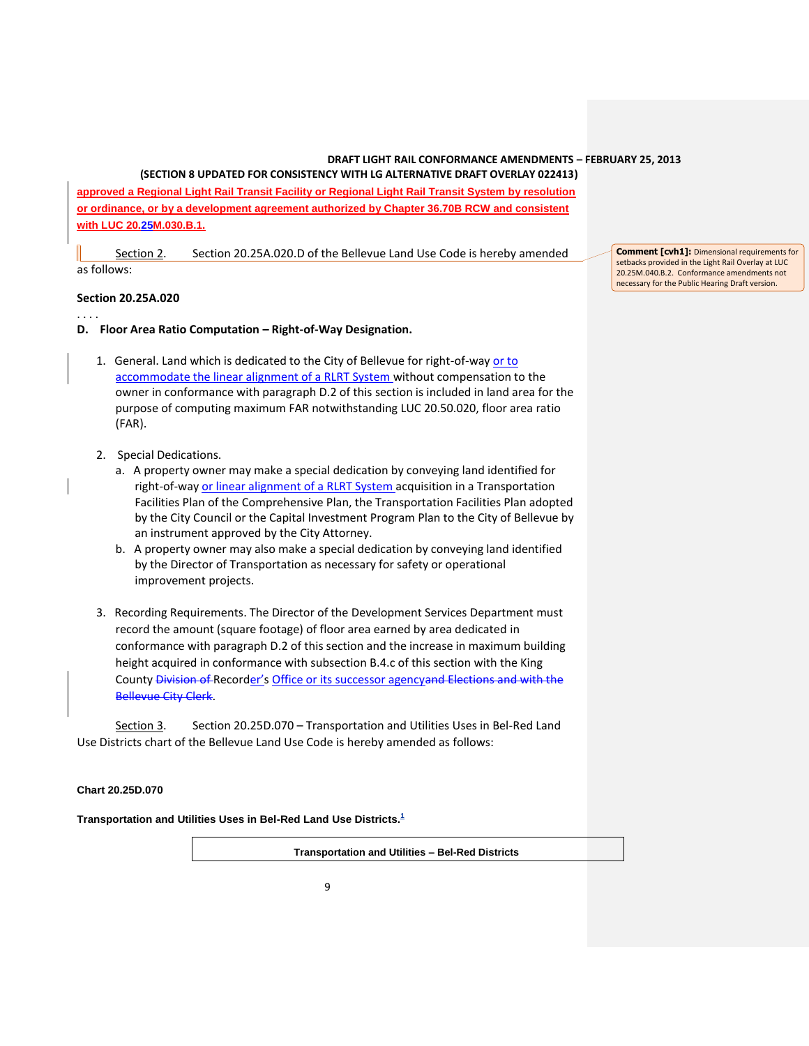**(SECTION 8 UPDATED FOR CONSISTENCY WITH LG ALTERNATIVE DRAFT OVERLAY 022413) approved a Regional Light Rail Transit Facility or Regional Light Rail Transit System by resolution or ordinance, or by a development agreement authorized by Chapter 36.70B RCW and consistent with LUC 20.25M.030.B.1.**

Section 2. Section 20.25A.020.D of the Bellevue Land Use Code is hereby amended as follows:

## **Section 20.25A.020**

. . . .

- **D. Floor Area Ratio Computation – Right-of-Way Designation.**
	- 1. General. Land which is dedicated to the City of Bellevue for right-of-way or to accommodate the linear alignment of a RLRT System without compensation to the owner in conformance with paragraph D.2 of this section is included in land area for the purpose of computing maximum FAR notwithstanding LUC 20.50.020, floor area ratio (FAR).
	- 2. Special Dedications.
		- a. A property owner may make a special dedication by conveying land identified for right-of-way or linear alignment of a RLRT System acquisition in a Transportation Facilities Plan of the Comprehensive Plan, the Transportation Facilities Plan adopted by the City Council or the Capital Investment Program Plan to the City of Bellevue by an instrument approved by the City Attorney.
		- b. A property owner may also make a special dedication by conveying land identified by the Director of Transportation as necessary for safety or operational improvement projects.
	- 3. Recording Requirements. The Director of the Development Services Department must record the amount (square footage) of floor area earned by area dedicated in conformance with paragraph D.2 of this section and the increase in maximum building height acquired in conformance with subsection B.4.c of this section with the King County Division of Recorder's Office or its successor agencyand Elections and with the Bellevue City Clerk.

Section 3. Section 20.25D.070 – Transportation and Utilities Uses in Bel-Red Land Use Districts chart of the Bellevue Land Use Code is hereby amended as follows:

#### **Chart 20.25D.070**

**Transportation and Utilities Uses in Bel-Red Land Use Districts[.](http://www.codepublishing.com/wa/bellevue/LUC/BellevueLUC2025D.html#225)<sup>1</sup>**

**Transportation and Utilities – Bel-Red Districts**

**Comment [cvh1]:** Dimensional requirements for setbacks provided in the Light Rail Overlay at LUC 20.25M.040.B.2. Conformance amendments not necessary for the Public Hearing Draft version.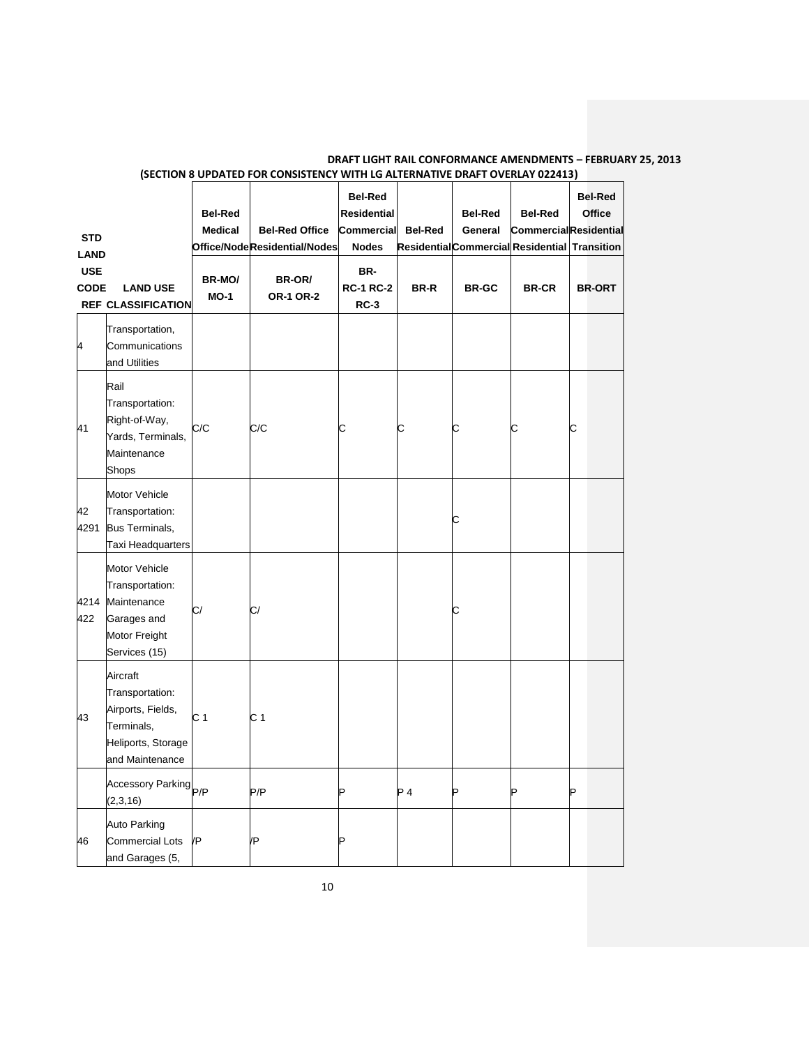| <b>STD</b><br><b>LAND</b><br><b>USE</b><br><b>CODE</b> | <b>LAND USE</b><br><b>REF CLASSIFICATION</b>                                                            | <b>Bel-Red</b><br><b>Medical</b><br>BR-MO/<br>$MO-1$ | <b>Bel-Red Office</b><br>Office/NodeResidential/Nodes<br>BR-OR/<br><b>OR-1 OR-2</b> | <b>Bel-Red</b><br><b>Residential</b><br><b>Commercial</b><br><b>Nodes</b><br>BR-<br><b>RC-1 RC-2</b><br>$RC-3$ | <b>Bel-Red</b><br><b>BR-R</b> | <b>Bel-Red</b><br>General<br>Residential Commercial Residential Transition<br><b>BR-GC</b> | <b>Bel-Red</b><br><b>CommercialResidential</b><br><b>BR-CR</b> |   | <b>Bel-Red</b><br><b>Office</b><br><b>BR-ORT</b> |
|--------------------------------------------------------|---------------------------------------------------------------------------------------------------------|------------------------------------------------------|-------------------------------------------------------------------------------------|----------------------------------------------------------------------------------------------------------------|-------------------------------|--------------------------------------------------------------------------------------------|----------------------------------------------------------------|---|--------------------------------------------------|
| 4                                                      | Transportation,<br>Communications<br>and Utilities                                                      |                                                      |                                                                                     |                                                                                                                |                               |                                                                                            |                                                                |   |                                                  |
| 41                                                     | Rail<br>Transportation:<br>Right-of-Way,<br>Yards, Terminals,<br>Maintenance<br>Shops                   | C/C                                                  | C/C                                                                                 | С                                                                                                              | С                             | С                                                                                          | С                                                              | C |                                                  |
| 42<br>4291                                             | Motor Vehicle<br>Transportation:<br>Bus Terminals,<br>Taxi Headquarters                                 |                                                      |                                                                                     |                                                                                                                |                               | С                                                                                          |                                                                |   |                                                  |
| 4214<br>422                                            | Motor Vehicle<br>Transportation:<br>Maintenance<br>Garages and<br>Motor Freight<br>Services (15)        | C/                                                   | C/                                                                                  |                                                                                                                |                               | С                                                                                          |                                                                |   |                                                  |
| 43                                                     | Aircraft<br>Transportation:<br>Airports, Fields,<br>Terminals,<br>Heliports, Storage<br>and Maintenance | C 1                                                  | C <sub>1</sub>                                                                      |                                                                                                                |                               |                                                                                            |                                                                |   |                                                  |
|                                                        | Accessory Parking<br>P/P<br>(2,3,16)                                                                    |                                                      | P/P                                                                                 | Þ                                                                                                              | $P_4$                         | P                                                                                          | Þ                                                              | P |                                                  |
| 46                                                     | Auto Parking<br><b>Commercial Lots</b><br>and Garages (5,                                               | /P                                                   | /P                                                                                  | b                                                                                                              |                               |                                                                                            |                                                                |   |                                                  |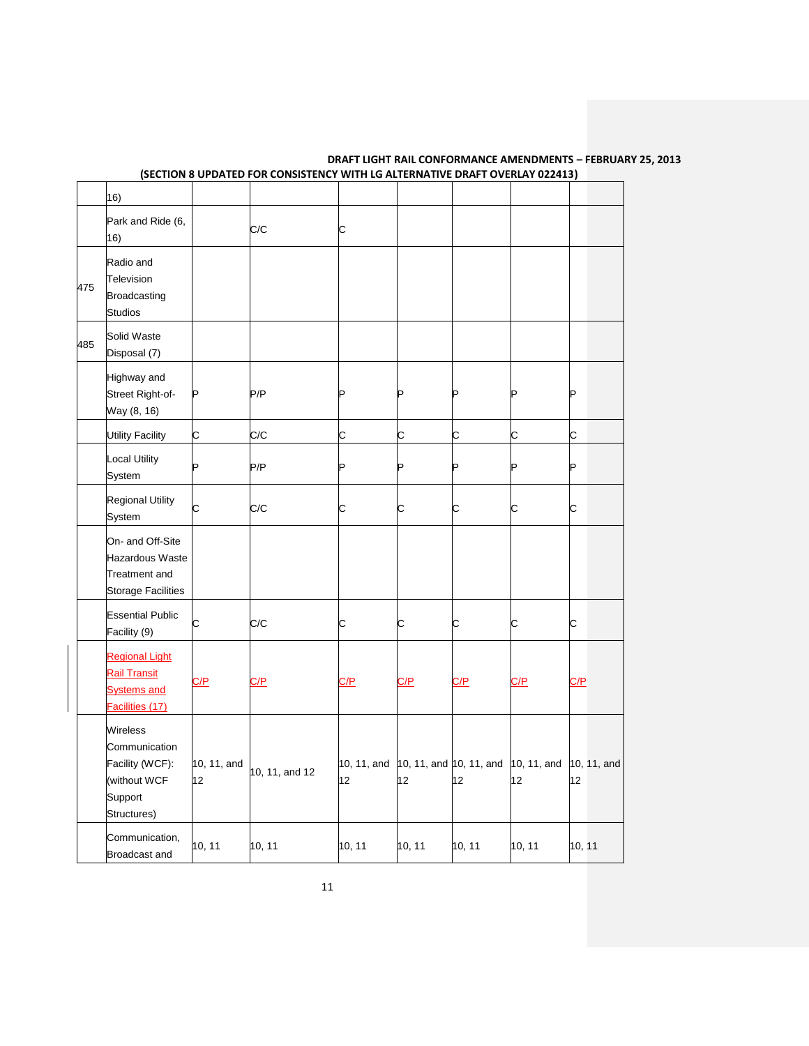| <b>DRAFT LIGHT RAIL CONFORMANCE AMENDMENTS - FEBRUARY 25. 2013</b>           |
|------------------------------------------------------------------------------|
| (SECTION 8 UPDATED FOR CONSISTENCY WITH LG ALTERNATIVE DRAFT OVERLAY 022413) |

|     | 16)                                                                                      |                   |                |                                           |            |            |                   |                   |
|-----|------------------------------------------------------------------------------------------|-------------------|----------------|-------------------------------------------|------------|------------|-------------------|-------------------|
|     | Park and Ride (6,<br>16)                                                                 |                   | C/C            | C                                         |            |            |                   |                   |
| 475 | Radio and<br>Television<br><b>Broadcasting</b><br><b>Studios</b>                         |                   |                |                                           |            |            |                   |                   |
| 485 | Solid Waste<br>Disposal (7)                                                              |                   |                |                                           |            |            |                   |                   |
|     | Highway and<br>Street Right-of-<br>Way (8, 16)                                           | P                 | P/P            | P                                         | P          | P          |                   | Þ                 |
|     | <b>Utility Facility</b>                                                                  | С                 | C/C            | С                                         | С          | С          | С                 | С                 |
|     | <b>Local Utility</b><br>System                                                           |                   | P/P            | P                                         | Þ          | P          | P                 | Þ                 |
|     | <b>Regional Utility</b><br>System                                                        | С                 | C/C            | C                                         | c          | C          | C                 | C                 |
|     | On- and Off-Site<br><b>Hazardous Waste</b><br>Treatment and<br><b>Storage Facilities</b> |                   |                |                                           |            |            |                   |                   |
|     | <b>Essential Public</b><br>Facility (9)                                                  | C                 | C/C            | C                                         | C          | C          | C                 | C                 |
|     | <b>Regional Light</b><br><b>Rail Transit</b><br><b>Systems and</b><br>Facilities (17)    | <u>C/P</u>        | C/P            | C/P                                       | <u>C/P</u> | <u>C/P</u> | <u>C/P</u>        | C/P               |
|     | Wireless<br>Communication<br>Facility (WCF):<br>(without WCF<br>Support<br>Structures)   | 10, 11, and<br>12 | 10, 11, and 12 | 10, 11, and 10, 11, and 10, 11, and<br>12 | 12         | 12         | 10, 11, and<br>12 | 10, 11, and<br>12 |
|     | Communication,<br>Broadcast and                                                          | 10, 11            | 10, 11         | 10, 11                                    | 10, 11     | 10, 11     | 10, 11            | 10, 11            |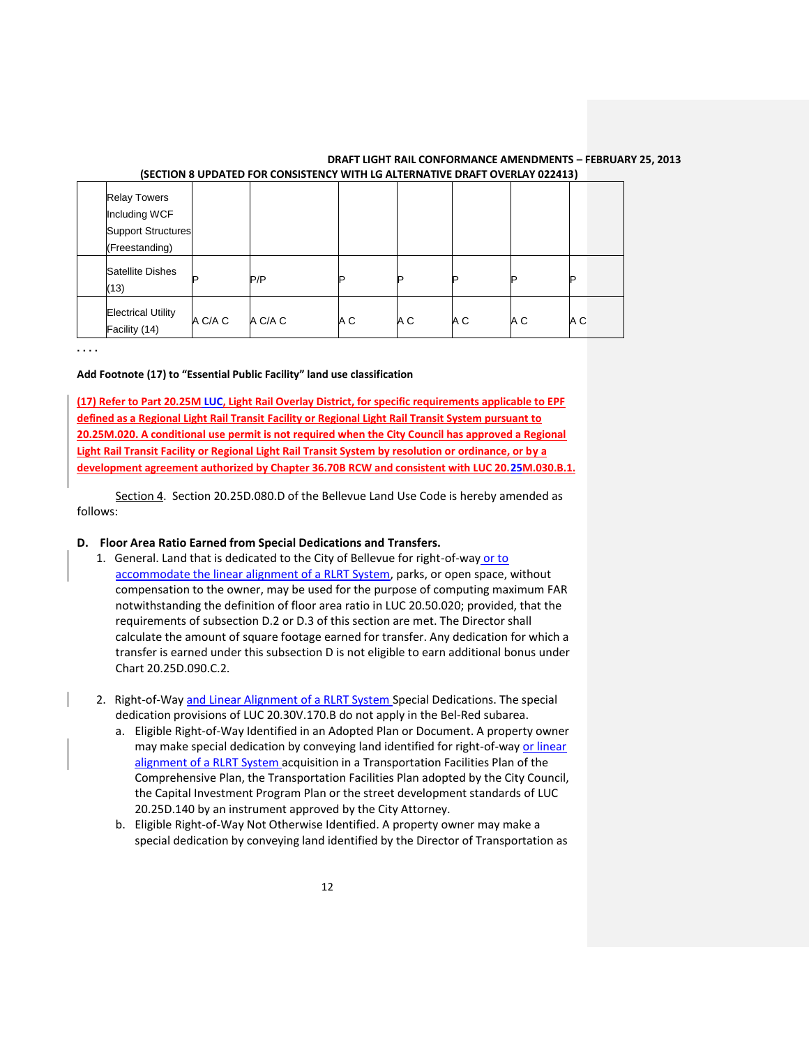| <b>Relay Towers</b><br>Including WCF<br><b>Support Structures</b><br>(Freestanding) |         |         |     |     |     |     |     |
|-------------------------------------------------------------------------------------|---------|---------|-----|-----|-----|-----|-----|
| <b>Satellite Dishes</b><br>(13)                                                     | D       | P/P     |     | P   | םו  |     | D   |
| <b>Electrical Utility</b><br>Facility (14)                                          | A C/A C | A C/A C | A C | A C | A C | A C | A C |

**. . . .** 

### **Add Footnote (17) to "Essential Public Facility" land use classification**

**(17) Refer to Part 20.25M LUC, Light Rail Overlay District, for specific requirements applicable to EPF defined as a Regional Light Rail Transit Facility or Regional Light Rail Transit System pursuant to 20.25M.020. A conditional use permit is not required when the City Council has approved a Regional Light Rail Transit Facility or Regional Light Rail Transit System by resolution or ordinance, or by a development agreement authorized by Chapter 36.70B RCW and consistent with LUC 20.25M.030.B.1.**

Section 4. Section 20.25D.080.D of the Bellevue Land Use Code is hereby amended as follows:

## **D. Floor Area Ratio Earned from Special Dedications and Transfers.**

- 1. General. Land that is dedicated to the City of Bellevue for right-of-way or to accommodate the linear alignment of a RLRT System, parks, or open space, without compensation to the owner, may be used for the purpose of computing maximum FAR notwithstanding the definition of floor area ratio in LUC 20.50.020; provided, that the requirements of subsection D.2 or D.3 of this section are met. The Director shall calculate the amount of square footage earned for transfer. Any dedication for which a transfer is earned under this subsection D is not eligible to earn additional bonus under Chart 20.25D.090.C.2.
- 2. Right-of-Way and Linear Alignment of a RLRT System Special Dedications. The special dedication provisions of LUC 20.30V.170.B do not apply in the Bel-Red subarea.
	- a. Eligible Right-of-Way Identified in an Adopted Plan or Document. A property owner may make special dedication by conveying land identified for right-of-way or linear alignment of a RLRT System acquisition in a Transportation Facilities Plan of the Comprehensive Plan, the Transportation Facilities Plan adopted by the City Council, the Capital Investment Program Plan or the street development standards of LUC 20.25D.140 by an instrument approved by the City Attorney.
	- b. Eligible Right-of-Way Not Otherwise Identified. A property owner may make a special dedication by conveying land identified by the Director of Transportation as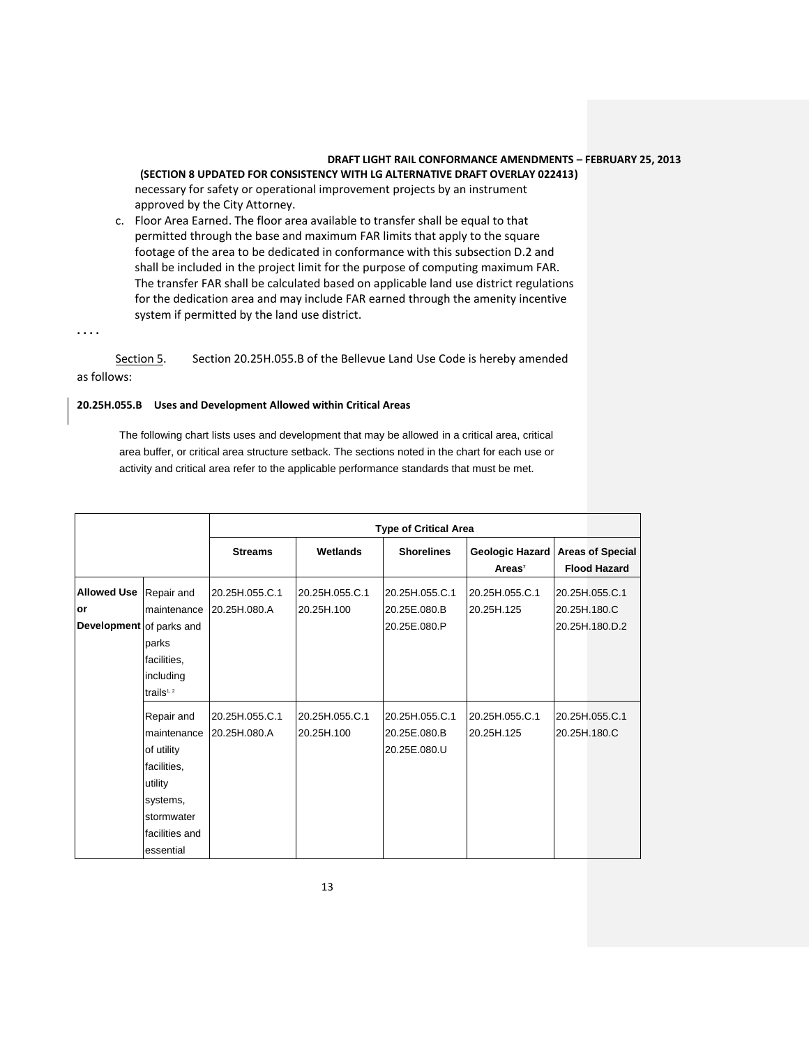**(SECTION 8 UPDATED FOR CONSISTENCY WITH LG ALTERNATIVE DRAFT OVERLAY 022413)** necessary for safety or operational improvement projects by an instrument approved by the City Attorney.

c. Floor Area Earned. The floor area available to transfer shall be equal to that permitted through the base and maximum FAR limits that apply to the square footage of the area to be dedicated in conformance with this subsection D.2 and shall be included in the project limit for the purpose of computing maximum FAR. The transfer FAR shall be calculated based on applicable land use district regulations for the dedication area and may include FAR earned through the amenity incentive system if permitted by the land use district.

**. . . .** 

Section 5. Section 20.25H.055.B of the Bellevue Land Use Code is hereby amended as follows:

# **20.25H.055.B Uses and Development Allowed within Critical Areas**

The following chart lists uses and development that may be allowed in a critical area, critical area buffer, or critical area structure setback. The sections noted in the chart for each use or activity and critical area refer to the applicable performance standards that must be met.

|                          |                | <b>Type of Critical Area</b> |                |                   |                |                                                           |  |  |
|--------------------------|----------------|------------------------------|----------------|-------------------|----------------|-----------------------------------------------------------|--|--|
|                          |                | <b>Streams</b>               | Wetlands       | <b>Shorelines</b> | $Areas^7$      | Geologic Hazard   Areas of Special<br><b>Flood Hazard</b> |  |  |
| <b>Allowed Use</b>       | Repair and     | 20.25H.055.C.1               | 20.25H.055.C.1 | 20.25H.055.C.1    | 20.25H.055.C.1 | 20.25H.055.C.1                                            |  |  |
| or                       |                | maintenance 20.25H.080.A     | 20.25H.100     | 20.25E.080.B      | 20.25H.125     | 20.25H.180.C                                              |  |  |
| Development of parks and |                |                              |                | 20.25E.080.P      |                | 20.25H.180.D.2                                            |  |  |
|                          | parks          |                              |                |                   |                |                                                           |  |  |
|                          | facilities,    |                              |                |                   |                |                                                           |  |  |
|                          | including      |                              |                |                   |                |                                                           |  |  |
|                          | trails $1, 2$  |                              |                |                   |                |                                                           |  |  |
|                          | Repair and     | 20.25H.055.C.1               | 20.25H.055.C.1 | 20.25H.055.C.1    | 20.25H.055.C.1 | 20.25H.055.C.1                                            |  |  |
|                          | maintenance    | 20.25H,080.A                 | 20.25H.100     | 20.25E.080.B      | 20.25H.125     | 20.25H.180.C                                              |  |  |
|                          | of utility     |                              |                | 20.25E,080.U      |                |                                                           |  |  |
|                          | facilities,    |                              |                |                   |                |                                                           |  |  |
|                          | utility        |                              |                |                   |                |                                                           |  |  |
|                          | systems,       |                              |                |                   |                |                                                           |  |  |
|                          | stormwater     |                              |                |                   |                |                                                           |  |  |
|                          | facilities and |                              |                |                   |                |                                                           |  |  |
|                          | essential      |                              |                |                   |                |                                                           |  |  |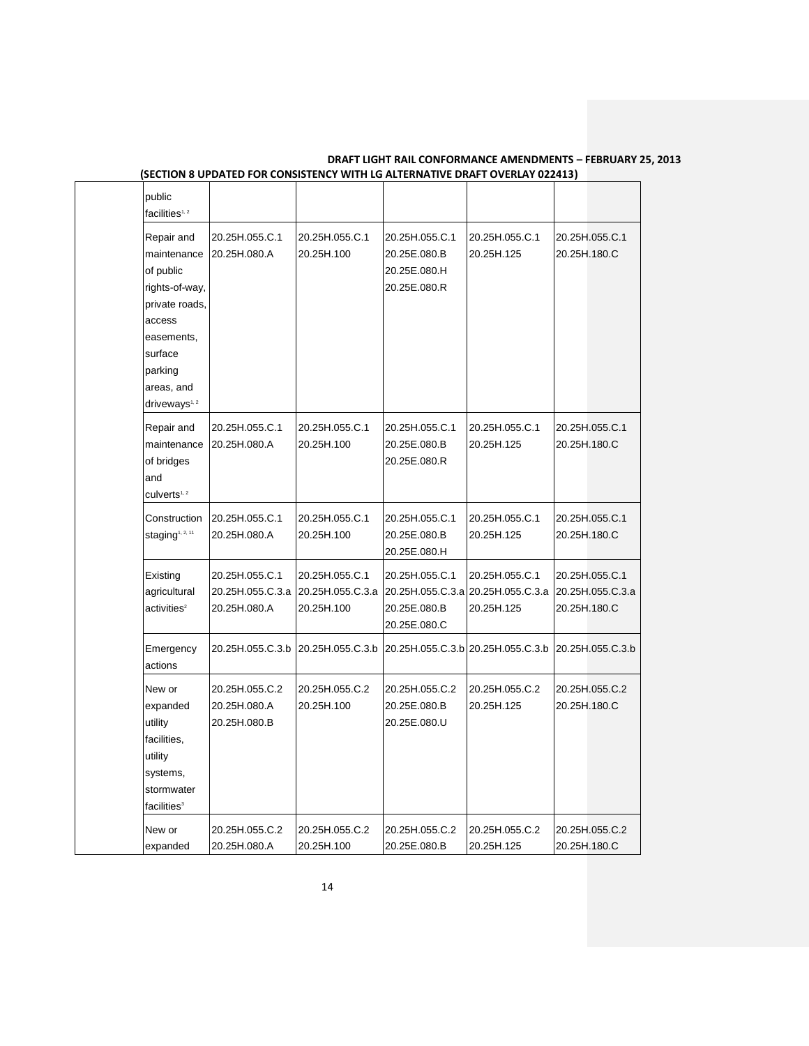| public<br>facilities <sup>1,2</sup>                                                                                                                                 |                                                    |                                                  |                                                                                     |                              |              |                                    |
|---------------------------------------------------------------------------------------------------------------------------------------------------------------------|----------------------------------------------------|--------------------------------------------------|-------------------------------------------------------------------------------------|------------------------------|--------------|------------------------------------|
| Repair and<br>maintenance<br>of public<br>rights-of-way,<br>private roads.<br>access<br>easements,<br>surface<br>parking<br>areas, and<br>driveways <sup>1, 2</sup> | 20.25H.055.C.1<br>20.25H.080.A                     | 20.25H.055.C.1<br>20.25H.100                     | 20.25H.055.C.1<br>20.25E.080.B<br>20.25E.080.H<br>20.25E.080.R                      | 20.25H.055.C.1<br>20.25H.125 | 20.25H.180.C | 20.25H.055.C.1                     |
| Repair and<br>maintenance<br>of bridges<br>and<br>culverts <sup>1, 2</sup>                                                                                          | 20.25H.055.C.1<br>20.25H.080.A                     | 20.25H.055.C.1<br>20.25H.100                     | 20.25H.055.C.1<br>20.25E.080.B<br>20.25E.080.R                                      | 20.25H.055.C.1<br>20.25H.125 | 20.25H.180.C | 20.25H.055.C.1                     |
| Construction<br>staging <sup>1, 2, 11</sup>                                                                                                                         | 20.25H.055.C.1<br>20.25H.080.A                     | 20.25H.055.C.1<br>20.25H.100                     | 20.25H.055.C.1<br>20.25E.080.B<br>20.25E.080.H                                      | 20.25H.055.C.1<br>20.25H.125 | 20.25H.180.C | 20.25H.055.C.1                     |
| Existing<br>agricultural<br>activeities <sup>2</sup>                                                                                                                | 20.25H.055.C.1<br>20.25H.055.C.3.a<br>20.25H.080.A | 20.25H.055.C.1<br>20.25H.055.C.3.a<br>20.25H.100 | 20.25H.055.C.1<br>20.25H.055.C.3.a 20.25H.055.C.3.a<br>20.25E.080.B<br>20.25E.080.C | 20.25H.055.C.1<br>20.25H.125 | 20.25H.180.C | 20.25H.055.C.1<br>20.25H.055.C.3.a |
| Emergency<br>actions                                                                                                                                                | 20.25H.055.C.3.b                                   | 20.25H.055.C.3.b                                 | 20.25H.055.C.3.b 20.25H.055.C.3.b                                                   |                              |              | 20.25H.055.C.3.b                   |
| New or<br>expanded<br>utility<br>facilities,<br>utility<br>systems,<br>stormwater<br>facilities <sup>3</sup>                                                        | 20.25H.055.C.2<br>20.25H.080.A<br>20.25H.080.B     | 20.25H.055.C.2<br>20.25H.100                     | 20.25H.055.C.2<br>20.25E.080.B<br>20.25E.080.U                                      | 20.25H.055.C.2<br>20.25H.125 | 20.25H.180.C | 20.25H.055.C.2                     |
| New or<br>expanded                                                                                                                                                  | 20.25H.055.C.2<br>20.25H.080.A                     | 20.25H.055.C.2<br>20.25H.100                     | 20.25H.055.C.2<br>20.25E.080.B                                                      | 20.25H.055.C.2<br>20.25H.125 | 20.25H.180.C | 20.25H.055.C.2                     |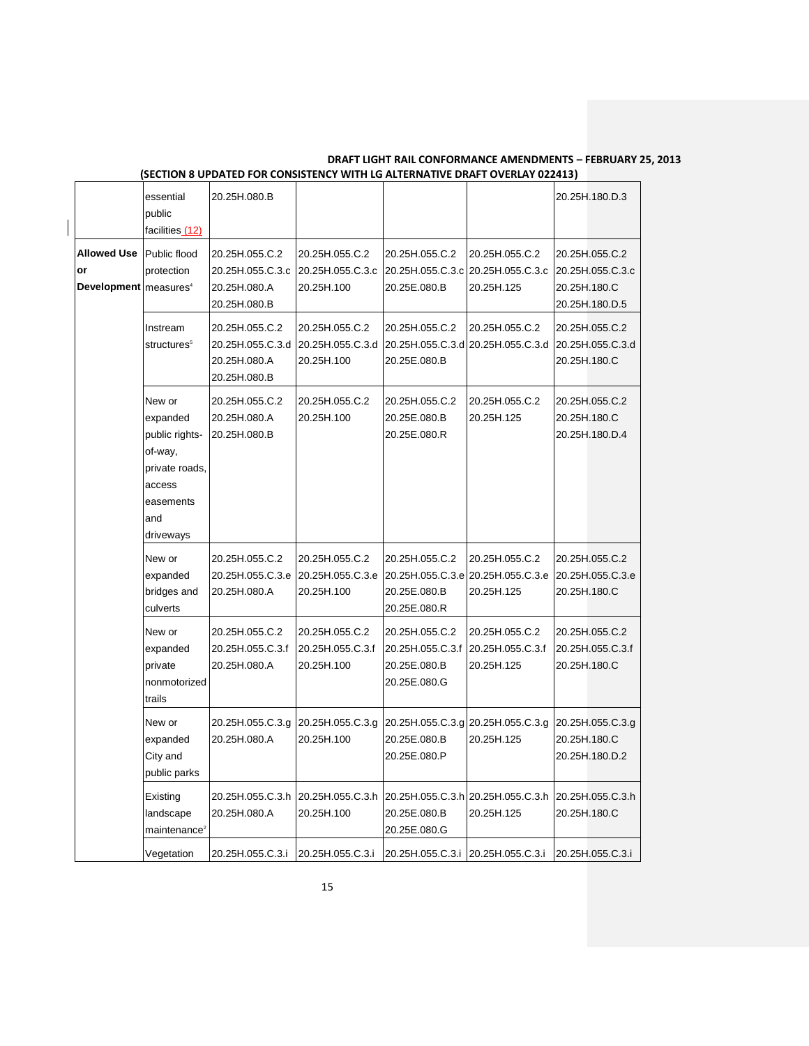|                                                                 | essential<br>public<br>facilities (12)                                                                       | 20.25H.080.B                                                                        |                                                                                      |                                                                                     |                                                                  |              | 20.25H.180.D.3                                       |
|-----------------------------------------------------------------|--------------------------------------------------------------------------------------------------------------|-------------------------------------------------------------------------------------|--------------------------------------------------------------------------------------|-------------------------------------------------------------------------------------|------------------------------------------------------------------|--------------|------------------------------------------------------|
| <b>Allowed Use</b><br>or<br>Development   measures <sup>4</sup> | Public flood<br>protection                                                                                   | 20.25H.055.C.2<br>20.25H.055.C.3.c<br>20.25H.080.A<br>20.25H.080.B                  | 20.25H.055.C.2<br>20.25H.055.C.3.c<br>20.25H.100                                     | 20.25H.055.C.2<br>20.25H.055.C.3.cl20.25H.055.C.3.c<br>20.25E.080.B                 | 20.25H.055.C.2<br>20.25H.125                                     | 20.25H.180.C | 20.25H.055.C.2<br>20.25H.055.C.3.c<br>20.25H.180.D.5 |
|                                                                 | Instream<br>structures <sup>5</sup>                                                                          | 20.25H.055.C.2<br>20.25H.055.C.3.d 20.25H.055.C.3.d<br>20.25H.080.A<br>20.25H.080.B | 20.25H.055.C.2<br>20.25H.100                                                         | 20.25H.055.C.2<br>20.25H.055.C.3.d 20.25H.055.C.3.d<br>20.25E.080.B                 | 20.25H.055.C.2                                                   | 20.25H.180.C | 20.25H.055.C.2<br>20.25H.055.C.3.d                   |
|                                                                 | New or<br>expanded<br>public rights-<br>of-way,<br>private roads,<br>access<br>easements<br>and<br>driveways | 20.25H.055.C.2<br>20.25H.080.A<br>20.25H.080.B                                      | 20.25H.055.C.2<br>20.25H.100                                                         | 20.25H.055.C.2<br>20.25E.080.B<br>20.25E.080.R                                      | 20.25H.055.C.2<br>20.25H.125                                     | 20.25H.180.C | 20.25H.055.C.2<br>20.25H.180.D.4                     |
|                                                                 | New or<br>expanded<br>bridges and<br>culverts                                                                | 20.25H.055.C.2<br>20.25H.055.C.3.e  20.25H.055.C.3.e<br>20.25H.080.A                | 20.25H.055.C.2<br>20.25H.100                                                         | 20.25H.055.C.2<br>20.25H.055.C.3.e 20.25H.055.C.3.e<br>20.25E.080.B<br>20.25E.080.R | 20.25H.055.C.2<br>20.25H.125                                     | 20.25H.180.C | 20.25H.055.C.2<br>20.25H.055.C.3.e                   |
|                                                                 | New or<br>expanded<br>private<br>nonmotorized<br>trails                                                      | 20.25H.055.C.2<br>20.25H.055.C.3.f<br>20.25H.080.A                                  | 20.25H.055.C.2<br>20.25H.055.C.3.f<br>20.25H.100                                     | 20.25H.055.C.2<br>20.25H.055.C.3.f<br>20.25E.080.B<br>20.25E.080.G                  | 20.25H.055.C.2<br>20.25H.055.C.3.f<br>20.25H.125                 | 20.25H.180.C | 20.25H.055.C.2<br>20.25H.055.C.3.f                   |
|                                                                 | New or<br>expanded<br>City and<br>public parks                                                               | 20.25H.080.A                                                                        | 20.25H.055.C.3.g 20.25H.055.C.3.g<br>20.25H.100                                      | 20.25E.080.B<br>20.25E.080.P                                                        | 20.25H.055.C.3.g 20.25H.055.C.3.g 20.25H.055.C.3.g<br>20.25H.125 | 20.25H.180.C | 20.25H.180.D.2                                       |
|                                                                 | Existing<br>landscape<br>maintenance <sup>2</sup>                                                            | 20.25H.080.A                                                                        | 20.25H.055.C.3.h 20.25H.055.C.3.h 20.25H.055.C.3.h 20.25H.055.C.3.h<br>20.25H.100    | 20.25E.080.B<br>20.25E.080.G                                                        | 20.25H.125                                                       | 20.25H.180.C | 20.25H.055.C.3.h                                     |
|                                                                 | Vegetation                                                                                                   |                                                                                     | 20.25H.055.C.3.i 20.25H.055.C.3.i 20.25H.055.C.3.i 20.25H.055.C.3.i 20.25H.055.C.3.i |                                                                                     |                                                                  |              |                                                      |

 $\overline{\phantom{a}}$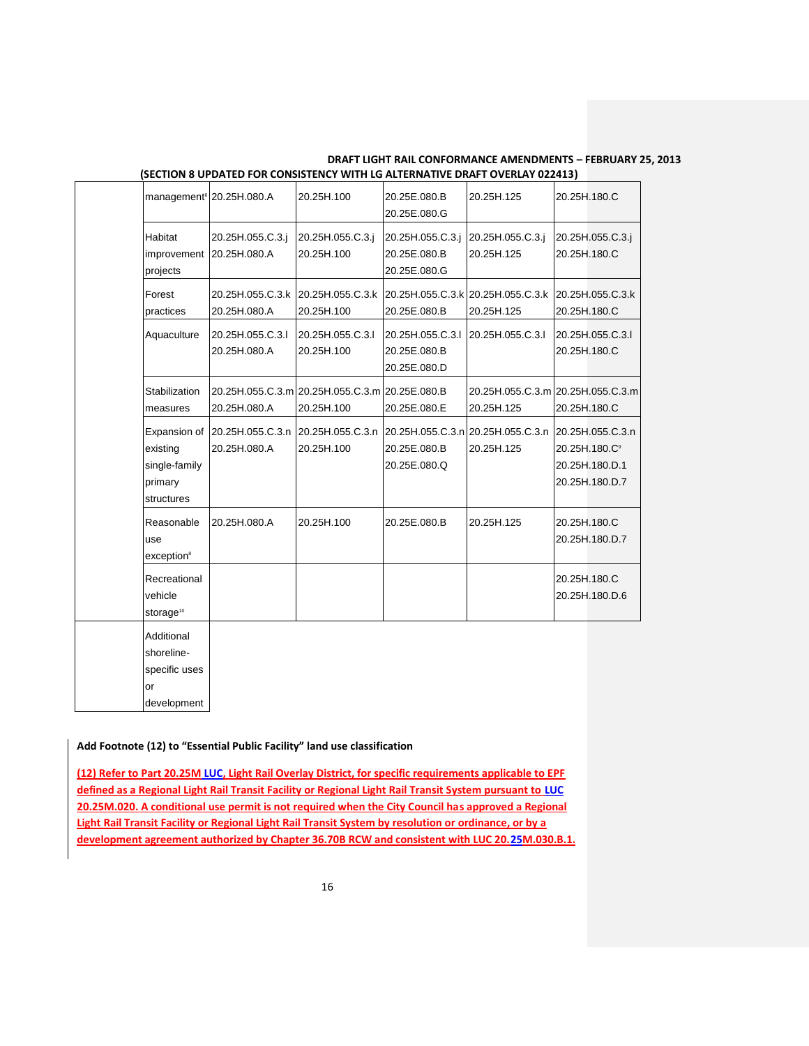| management <sup>6</sup> 20.25H.080.A                               |                                                                | 20.25H.100                     | 20.25E.080.B<br>20.25E.080.G                                      | 20.25H.125                                       | 20.25H.180.C              |                                                      |
|--------------------------------------------------------------------|----------------------------------------------------------------|--------------------------------|-------------------------------------------------------------------|--------------------------------------------------|---------------------------|------------------------------------------------------|
| Habitat<br>improvement<br>projects                                 | 20.25H.055.C.3.j<br>20.25H.080.A                               | 20.25H.055.C.3.j<br>20.25H.100 | 20.25H.055.C.3.j<br>20.25E.080.B<br>20.25E.080.G                  | 20.25H.055.C.3.j<br>20.25H.125                   | 20.25H.180.C              | 20.25H.055.C.3.j                                     |
| Forest<br>practices                                                | 20.25H.055.C.3.k<br>20.25H.080.A                               | 20.25H.055.C.3.k<br>20.25H.100 | 20.25H.055.C.3.k 20.25H.055.C.3.k<br>20.25E.080.B                 | 20.25H.125                                       | 20.25H.180.C              | 20.25H.055.C.3.k                                     |
| Aquaculture                                                        | 20.25H.055.C.3.I<br>20.25H.080.A                               | 20.25H.055.C.3.I<br>20.25H.100 | 20.25H.055.C.3.I<br>20.25E.080.B<br>20.25E.080.D                  | 20.25H.055.C.3.I                                 | 20.25H.180.C              | 20.25H.055.C.3.I                                     |
| Stabilization<br>measures                                          | 20.25H.055.C.3.ml20.25H.055.C.3.ml20.25E.080.B<br>20.25H.080.A | 20.25H.100                     | 20.25E.080.E                                                      | 20.25H.055.C.3.ml20.25H.055.C.3.ml<br>20.25H.125 | 20.25H.180.C              |                                                      |
| Expansion of<br>existing<br>single-family<br>primary<br>structures | 20.25H.055.C.3.n<br>20.25H.080.A                               | 20.25H.055.C.3.n<br>20.25H.100 | 20.25H.055.C.3.n 20.25H.055.C.3.n<br>20.25E.080.B<br>20.25E.080.Q | 20.25H.125                                       | 20.25H.180.C <sup>®</sup> | 20.25H.055.C.3.n<br>20.25H.180.D.1<br>20.25H.180.D.7 |
| Reasonable<br>use<br>exception <sup>8</sup>                        | 20.25H.080.A                                                   | 20.25H.100                     | 20.25E.080.B                                                      | 20.25H.125                                       | 20.25H.180.C              | 20.25H.180.D.7                                       |
| Recreational<br>vehicle<br>storage <sup>10</sup>                   |                                                                |                                |                                                                   |                                                  | 20.25H.180.C              | 20.25H.180.D.6                                       |
| Additional<br>shoreline-<br>specific uses<br>or<br>development     |                                                                |                                |                                                                   |                                                  |                           |                                                      |

#### **Add Footnote (12) to "Essential Public Facility" land use classification**

**(12) Refer to Part 20.25M LUC, Light Rail Overlay District, for specific requirements applicable to EPF defined as a Regional Light Rail Transit Facility or Regional Light Rail Transit System pursuant to LUC 20.25M.020. A conditional use permit is not required when the City Council has approved a Regional Light Rail Transit Facility or Regional Light Rail Transit System by resolution or ordinance, or by a development agreement authorized by Chapter 36.70B RCW and consistent with LUC 20.25M.030.B.1.**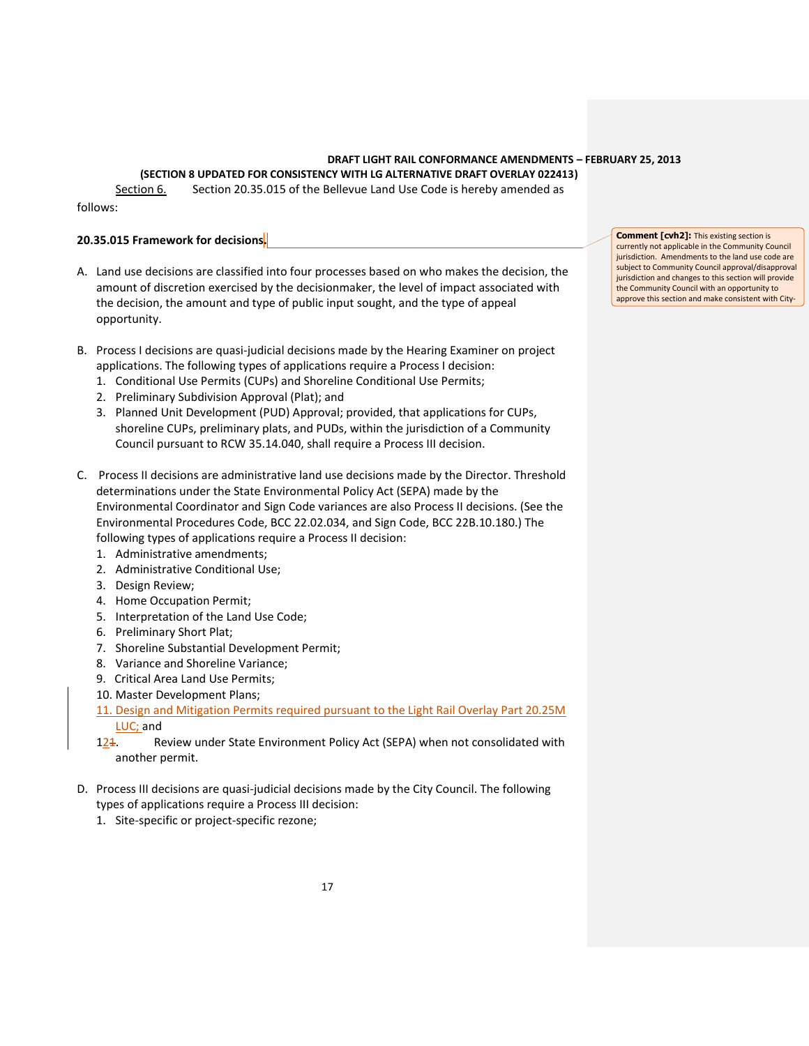**(SECTION 8 UPDATED FOR CONSISTENCY WITH LG ALTERNATIVE DRAFT OVERLAY 022413)**

Section 6. Section 20.35.015 of the Bellevue Land Use Code is hereby amended as follows:

# **20.35.015 Framework for decisions.**

- A. Land use decisions are classified into four processes based on who makes the decision, the amount of discretion exercised by the decisionmaker, the level of impact associated with the decision, the amount and type of public input sought, and the type of appeal opportunity.
- B. Process I decisions are quasi-judicial decisions made by the Hearing Examiner on project applications. The following types of applications require a Process I decision:
	- 1. Conditional Use Permits (CUPs) and Shoreline Conditional Use Permits;
	- 2. Preliminary Subdivision Approval (Plat); and
	- 3. Planned Unit Development (PUD) Approval; provided, that applications for CUPs, shoreline CUPs, preliminary plats, and PUDs, within the jurisdiction of a Community Council pursuant to RCW 35.14.040, shall require a Process III decision.
- C. Process II decisions are administrative land use decisions made by the Director. Threshold determinations under the State Environmental Policy Act (SEPA) made by the Environmental Coordinator and Sign Code variances are also Process II decisions. (See the Environmental Procedures Code, BCC 22.02.034, and Sign Code, BCC 22B.10.180.) The following types of applications require a Process II decision:
	- 1. Administrative amendments;
	- 2. Administrative Conditional Use;
	- 3. Design Review;
	- 4. Home Occupation Permit;
	- 5. Interpretation of the Land Use Code;
	- 6. Preliminary Short Plat;
	- 7. Shoreline Substantial Development Permit;
	- 8. Variance and Shoreline Variance;
	- 9. Critical Area Land Use Permits;
	- 10. Master Development Plans;
	- 11. Design and Mitigation Permits required pursuant to the Light Rail Overlay Part 20.25M LUC; and
	- 124. Review under State Environment Policy Act (SEPA) when not consolidated with another permit.
- D. Process III decisions are quasi-judicial decisions made by the City Council. The following types of applications require a Process III decision:
	- 1. Site-specific or project-specific rezone;

**Comment [cvh2]:** This existing section is currently not applicable in the Community Council jurisdiction. Amendments to the land use code are subject to Community Council approval/disapproval jurisdiction and changes to this section will provide the Community Council with an opportunity to approve this section and make consistent with City-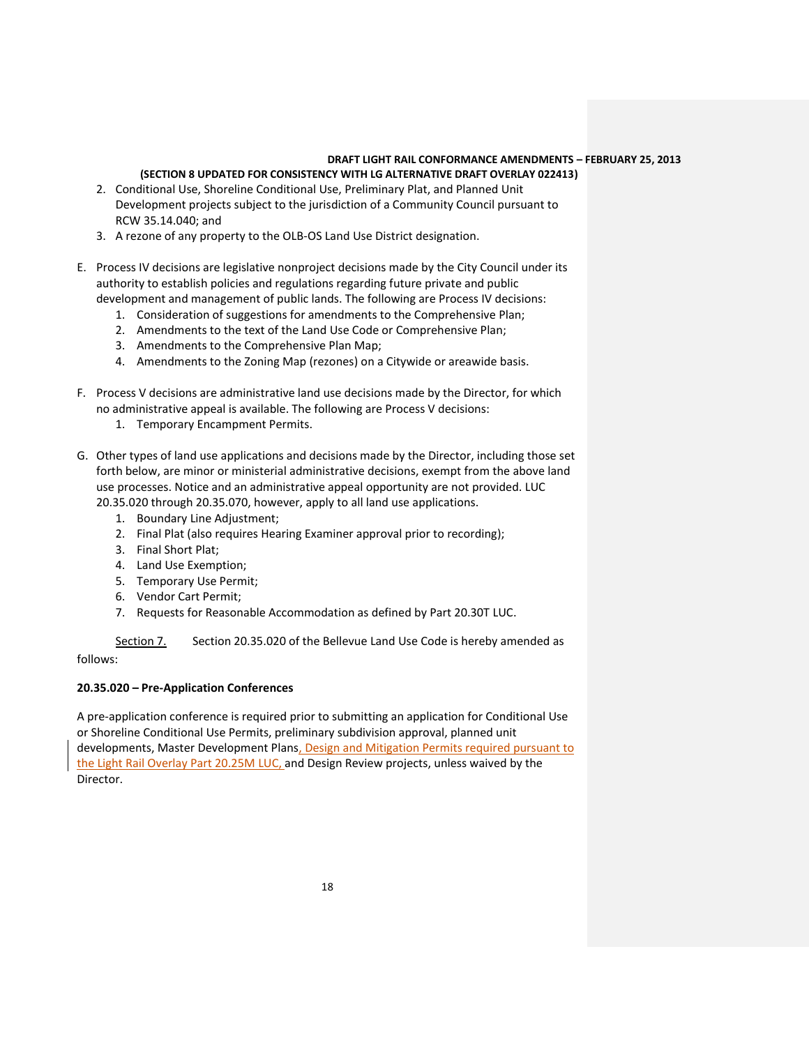### **(SECTION 8 UPDATED FOR CONSISTENCY WITH LG ALTERNATIVE DRAFT OVERLAY 022413)**

- 2. Conditional Use, Shoreline Conditional Use, Preliminary Plat, and Planned Unit Development projects subject to the jurisdiction of a Community Council pursuant to RCW 35.14.040; and
- 3. A rezone of any property to the OLB-OS Land Use District designation.
- E. Process IV decisions are legislative nonproject decisions made by the City Council under its authority to establish policies and regulations regarding future private and public development and management of public lands. The following are Process IV decisions:
	- 1. Consideration of suggestions for amendments to the Comprehensive Plan;
	- 2. Amendments to the text of the Land Use Code or Comprehensive Plan;
	- 3. Amendments to the Comprehensive Plan Map;
	- 4. Amendments to the Zoning Map (rezones) on a Citywide or areawide basis.
- F. Process V decisions are administrative land use decisions made by the Director, for which no administrative appeal is available. The following are Process V decisions:
	- 1. Temporary Encampment Permits.
- G. Other types of land use applications and decisions made by the Director, including those set forth below, are minor or ministerial administrative decisions, exempt from the above land use processes. Notice and an administrative appeal opportunity are not provided. LUC 20.35.020 through 20.35.070, however, apply to all land use applications.
	- 1. Boundary Line Adjustment;
	- 2. Final Plat (also requires Hearing Examiner approval prior to recording);
	- 3. Final Short Plat;
	- 4. Land Use Exemption;
	- 5. Temporary Use Permit;
	- 6. Vendor Cart Permit;
	- 7. Requests for Reasonable Accommodation as defined by Part 20.30T LUC.

Section 7. Section 20.35.020 of the Bellevue Land Use Code is hereby amended as follows:

#### **20.35.020 – Pre-Application Conferences**

A pre-application conference is required prior to submitting an application for Conditional Use or Shoreline Conditional Use Permits, preliminary subdivision approval, planned unit developments, Master Development Plans, Design and Mitigation Permits required pursuant to the Light Rail Overlay Part 20.25M LUC, and Design Review projects, unless waived by the Director.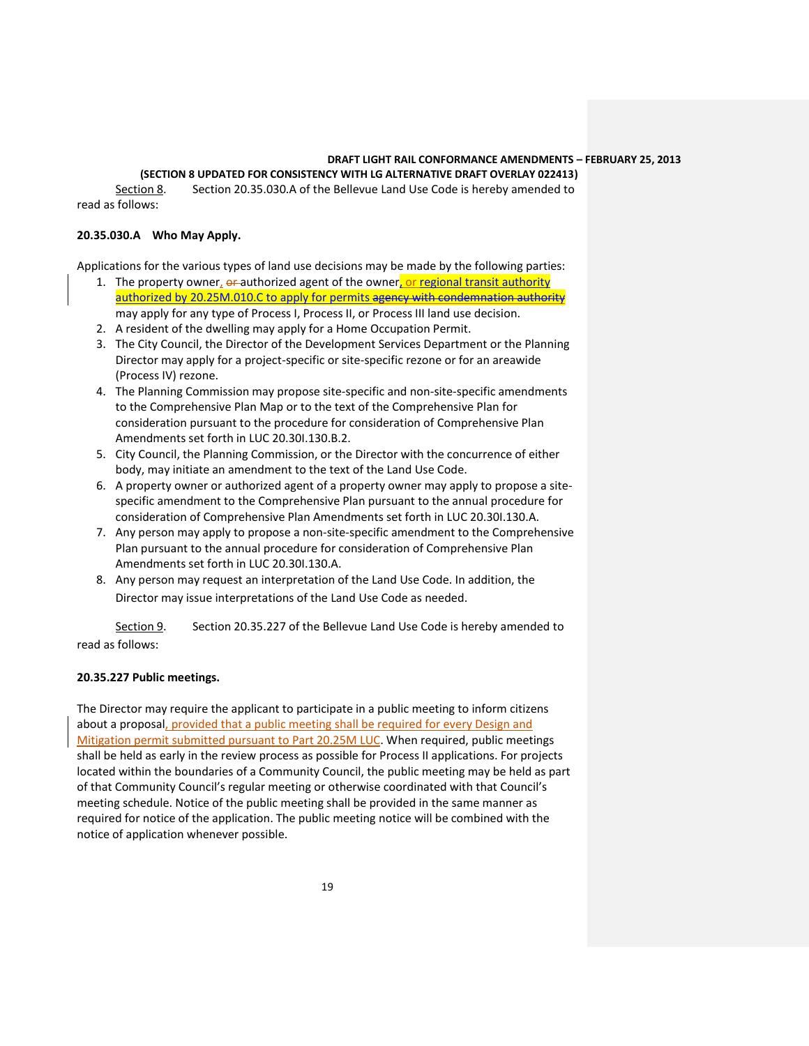#### **(SECTION 8 UPDATED FOR CONSISTENCY WITH LG ALTERNATIVE DRAFT OVERLAY 022413)**

Section 8. Section 20.35.030.A of the Bellevue Land Use Code is hereby amended to read as follows:

#### **20.35.030.A Who May Apply.**

Applications for the various types of land use decisions may be made by the following parties:

- 1. The property owner, or authorized agent of the owner, or regional transit authority authorized by 20.25M.010.C to apply for permits agency with condemnation authority may apply for any type of Process I, Process II, or Process III land use decision.
- 2. A resident of the dwelling may apply for a Home Occupation Permit.
- 3. The City Council, the Director of the Development Services Department or the Planning Director may apply for a project-specific or site-specific rezone or for an areawide (Process IV) rezone.
- 4. The Planning Commission may propose site-specific and non-site-specific amendments to the Comprehensive Plan Map or to the text of the Comprehensive Plan for consideration pursuant to the procedure for consideration of Comprehensive Plan Amendments set forth in LUC 20.30I.130.B.2.
- 5. City Council, the Planning Commission, or the Director with the concurrence of either body, may initiate an amendment to the text of the Land Use Code.
- 6. A property owner or authorized agent of a property owner may apply to propose a sitespecific amendment to the Comprehensive Plan pursuant to the annual procedure for consideration of Comprehensive Plan Amendments set forth in LUC 20.30I.130.A.
- 7. Any person may apply to propose a non-site-specific amendment to the Comprehensive Plan pursuant to the annual procedure for consideration of Comprehensive Plan Amendments set forth in LUC 20.30I.130.A.
- 8. Any person may request an interpretation of the Land Use Code. In addition, the Director may issue interpretations of the Land Use Code as needed.

Section 9. Section 20.35.227 of the Bellevue Land Use Code is hereby amended to read as follows:

## **20.35.227 Public meetings.**

The Director may require the applicant to participate in a public meeting to inform citizens about a proposal, provided that a public meeting shall be required for every Design and Mitigation permit submitted pursuant to Part 20.25M LUC. When required, public meetings shall be held as early in the review process as possible for Process II applications. For projects located within the boundaries of a Community Council, the public meeting may be held as part of that Community Council's regular meeting or otherwise coordinated with that Council's meeting schedule. Notice of the public meeting shall be provided in the same manner as required for notice of the application. The public meeting notice will be combined with the notice of application whenever possible.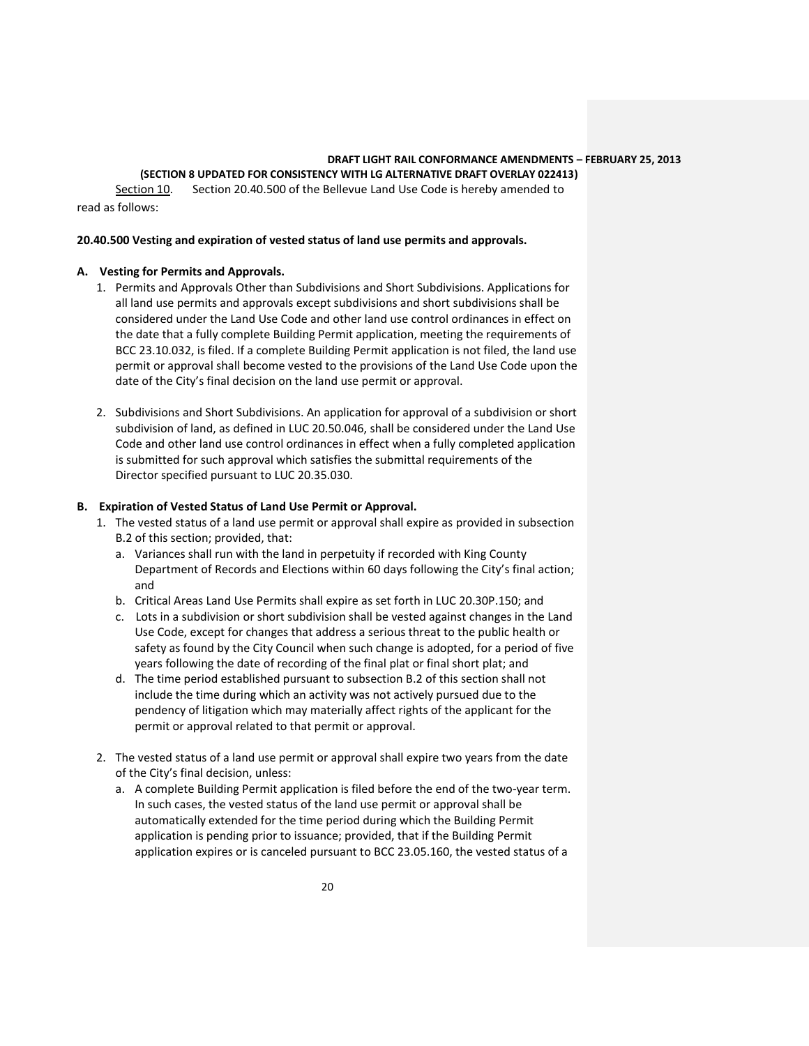**(SECTION 8 UPDATED FOR CONSISTENCY WITH LG ALTERNATIVE DRAFT OVERLAY 022413)**

Section 10. Section 20.40.500 of the Bellevue Land Use Code is hereby amended to read as follows:

### **20.40.500 Vesting and expiration of vested status of land use permits and approvals.**

## **A. Vesting for Permits and Approvals.**

- 1. Permits and Approvals Other than Subdivisions and Short Subdivisions. Applications for all land use permits and approvals except subdivisions and short subdivisions shall be considered under the Land Use Code and other land use control ordinances in effect on the date that a fully complete Building Permit application, meeting the requirements of BCC 23.10.032, is filed. If a complete Building Permit application is not filed, the land use permit or approval shall become vested to the provisions of the Land Use Code upon the date of the City's final decision on the land use permit or approval.
- 2. Subdivisions and Short Subdivisions. An application for approval of a subdivision or short subdivision of land, as defined in LUC 20.50.046, shall be considered under the Land Use Code and other land use control ordinances in effect when a fully completed application is submitted for such approval which satisfies the submittal requirements of the Director specified pursuant to LUC 20.35.030.

### **B. Expiration of Vested Status of Land Use Permit or Approval.**

- 1. The vested status of a land use permit or approval shall expire as provided in subsection B.2 of this section; provided, that:
	- a. Variances shall run with the land in perpetuity if recorded with King County Department of Records and Elections within 60 days following the City's final action; and
	- b. Critical Areas Land Use Permits shall expire as set forth in LUC 20.30P.150; and
	- c. Lots in a subdivision or short subdivision shall be vested against changes in the Land Use Code, except for changes that address a serious threat to the public health or safety as found by the City Council when such change is adopted, for a period of five years following the date of recording of the final plat or final short plat; and
	- d. The time period established pursuant to subsection B.2 of this section shall not include the time during which an activity was not actively pursued due to the pendency of litigation which may materially affect rights of the applicant for the permit or approval related to that permit or approval.
- 2. The vested status of a land use permit or approval shall expire two years from the date of the City's final decision, unless:
	- a. A complete Building Permit application is filed before the end of the two-year term. In such cases, the vested status of the land use permit or approval shall be automatically extended for the time period during which the Building Permit application is pending prior to issuance; provided, that if the Building Permit application expires or is canceled pursuant to BCC 23.05.160, the vested status of a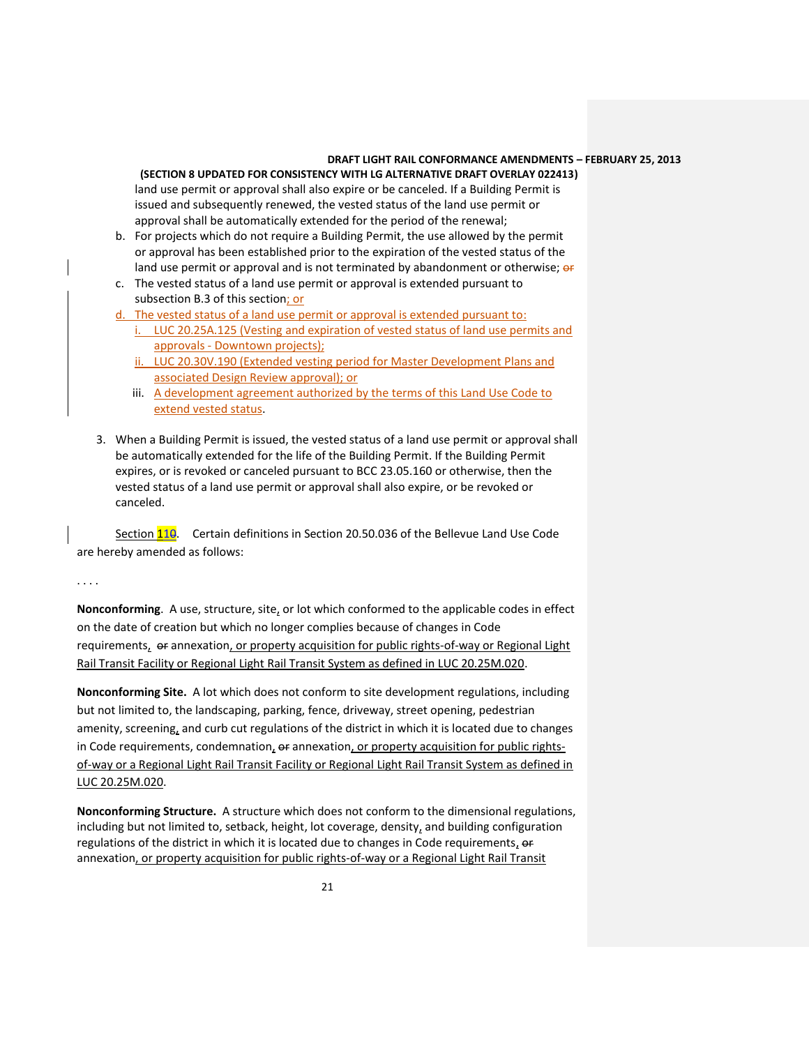**(SECTION 8 UPDATED FOR CONSISTENCY WITH LG ALTERNATIVE DRAFT OVERLAY 022413)** land use permit or approval shall also expire or be canceled. If a Building Permit is issued and subsequently renewed, the vested status of the land use permit or approval shall be automatically extended for the period of the renewal;

- b. For projects which do not require a Building Permit, the use allowed by the permit or approval has been established prior to the expiration of the vested status of the land use permit or approval and is not terminated by abandonment or otherwise; or
- c. The vested status of a land use permit or approval is extended pursuant to subsection B.3 of this section; or

d. The vested status of a land use permit or approval is extended pursuant to:

- i. LUC 20.25A.125 (Vesting and expiration of vested status of land use permits and approvals - Downtown projects);
- ii. LUC 20.30V.190 (Extended vesting period for Master Development Plans and associated Design Review approval); or
- iii. A development agreement authorized by the terms of this Land Use Code to extend vested status.
- 3. When a Building Permit is issued, the vested status of a land use permit or approval shall be automatically extended for the life of the Building Permit. If the Building Permit expires, or is revoked or canceled pursuant to BCC 23.05.160 or otherwise, then the vested status of a land use permit or approval shall also expire, or be revoked or canceled.

Section 110. Certain definitions in Section 20.50.036 of the Bellevue Land Use Code are hereby amended as follows:

. . . .

**Nonconforming**. A use, structure, site, or lot which conformed to the applicable codes in effect on the date of creation but which no longer complies because of changes in Code requirements, or annexation, or property acquisition for public rights-of-way or Regional Light Rail Transit Facility or Regional Light Rail Transit System as defined in LUC 20.25M.020.

**Nonconforming Site.** A lot which does not conform to site development regulations, including but not limited to, the landscaping, parking, fence, driveway, street opening, pedestrian amenity, screening, and curb cut regulations of the district in which it is located due to changes in Code requirements, condemnation,  $\boldsymbol{\mathrm{e}}$  annexation, or property acquisition for public rightsof-way or a Regional Light Rail Transit Facility or Regional Light Rail Transit System as defined in LUC 20.25M.020.

**Nonconforming Structure.** A structure which does not conform to the dimensional regulations, including but not limited to, setback, height, lot coverage, density, and building configuration regulations of the district in which it is located due to changes in Code requirements,  $er$ annexation, or property acquisition for public rights-of-way or a Regional Light Rail Transit